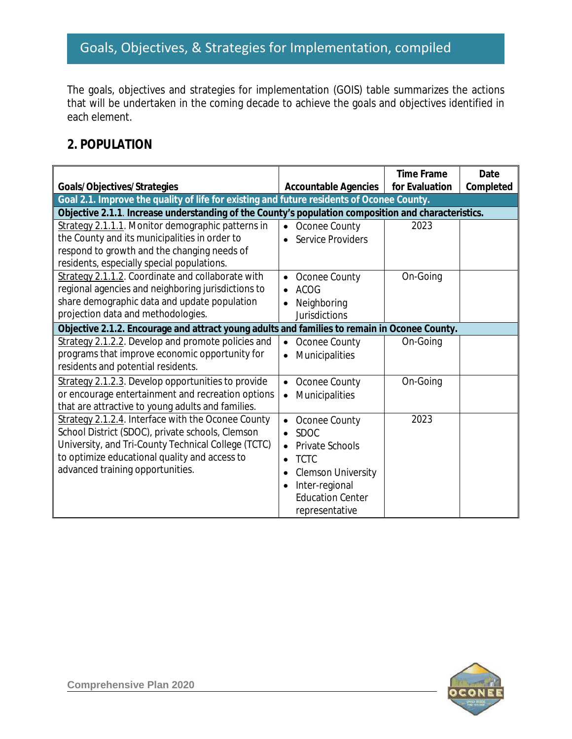The goals, objectives and strategies for implementation (GOIS) table summarizes the actions that will be undertaken in the coming decade to achieve the goals and objectives identified in each element.

#### **2. POPULATION**

|                                                                                                                          |                                        | <b>Time Frame</b> | Date      |
|--------------------------------------------------------------------------------------------------------------------------|----------------------------------------|-------------------|-----------|
| Goals/Objectives/Strategies<br>Goal 2.1. Improve the quality of life for existing and future residents of Oconee County. | <b>Accountable Agencies</b>            | for Evaluation    | Completed |
| Objective 2.1.1. Increase understanding of the County's population composition and characteristics.                      |                                        |                   |           |
| Strategy 2.1.1.1. Monitor demographic patterns in                                                                        | Oconee County<br>$\bullet$             | 2023              |           |
| the County and its municipalities in order to                                                                            | <b>Service Providers</b>               |                   |           |
| respond to growth and the changing needs of                                                                              |                                        |                   |           |
| residents, especially special populations.                                                                               |                                        |                   |           |
| Strategy 2.1.1.2. Coordinate and collaborate with                                                                        | Oconee County<br>$\bullet$             | On-Going          |           |
| regional agencies and neighboring jurisdictions to                                                                       | <b>ACOG</b>                            |                   |           |
| share demographic data and update population                                                                             | Neighboring                            |                   |           |
| projection data and methodologies.                                                                                       | <b>Jurisdictions</b>                   |                   |           |
| Objective 2.1.2. Encourage and attract young adults and families to remain in Oconee County.                             |                                        |                   |           |
| Strategy 2.1.2.2. Develop and promote policies and                                                                       | Oconee County                          | On-Going          |           |
| programs that improve economic opportunity for                                                                           | Municipalities                         |                   |           |
| residents and potential residents.                                                                                       |                                        |                   |           |
| Strategy 2.1.2.3. Develop opportunities to provide                                                                       | Oconee County<br>$\bullet$             | On-Going          |           |
| or encourage entertainment and recreation options                                                                        | Municipalities<br>$\bullet$            |                   |           |
| that are attractive to young adults and families.                                                                        |                                        |                   |           |
| Strategy 2.1.2.4. Interface with the Oconee County                                                                       | Oconee County<br>$\bullet$             | 2023              |           |
| School District (SDOC), private schools, Clemson                                                                         | <b>SDOC</b>                            |                   |           |
| University, and Tri-County Technical College (TCTC)                                                                      | <b>Private Schools</b>                 |                   |           |
| to optimize educational quality and access to                                                                            | <b>TCTC</b>                            |                   |           |
| advanced training opportunities.                                                                                         | <b>Clemson University</b><br>$\bullet$ |                   |           |
|                                                                                                                          | Inter-regional                         |                   |           |
|                                                                                                                          | <b>Education Center</b>                |                   |           |
|                                                                                                                          | representative                         |                   |           |

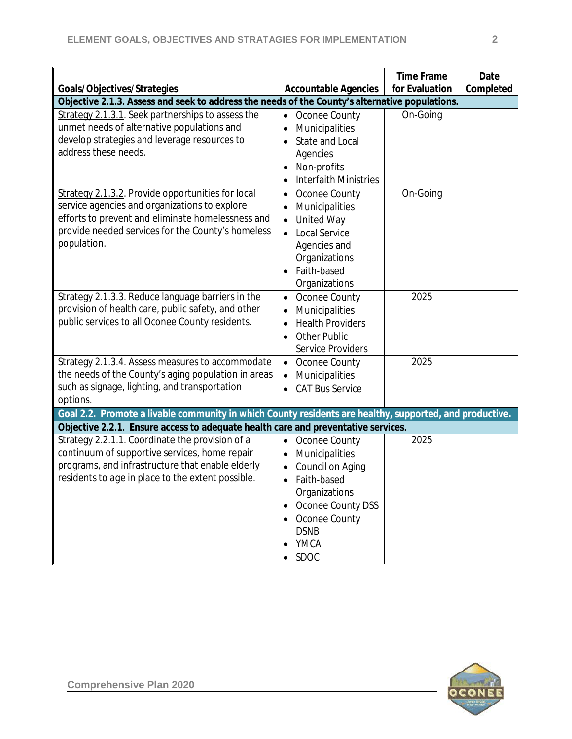|                                                                                                         |                                      | <b>Time Frame</b> | Date      |
|---------------------------------------------------------------------------------------------------------|--------------------------------------|-------------------|-----------|
| Goals/Objectives/Strategies                                                                             | <b>Accountable Agencies</b>          | for Evaluation    | Completed |
| Objective 2.1.3. Assess and seek to address the needs of the County's alternative populations.          |                                      |                   |           |
| Strategy 2.1.3.1. Seek partnerships to assess the                                                       | Oconee County<br>$\bullet$           | On-Going          |           |
| unmet needs of alternative populations and<br>develop strategies and leverage resources to              | Municipalities                       |                   |           |
| address these needs.                                                                                    | <b>State and Local</b>               |                   |           |
|                                                                                                         | Agencies                             |                   |           |
|                                                                                                         | Non-profits<br>Interfaith Ministries |                   |           |
|                                                                                                         | ٠                                    |                   |           |
| Strategy 2.1.3.2. Provide opportunities for local<br>service agencies and organizations to explore      | Oconee County<br>$\bullet$           | On-Going          |           |
| efforts to prevent and eliminate homelessness and                                                       | Municipalities                       |                   |           |
| provide needed services for the County's homeless                                                       | <b>United Way</b><br>$\bullet$       |                   |           |
| population.                                                                                             | <b>Local Service</b>                 |                   |           |
|                                                                                                         | Agencies and                         |                   |           |
|                                                                                                         | Organizations<br>Faith-based         |                   |           |
|                                                                                                         | Organizations                        |                   |           |
| Strategy 2.1.3.3. Reduce language barriers in the                                                       | Oconee County                        | 2025              |           |
| provision of health care, public safety, and other                                                      | Municipalities<br>$\bullet$          |                   |           |
| public services to all Oconee County residents.                                                         | <b>Health Providers</b>              |                   |           |
|                                                                                                         | <b>Other Public</b><br>$\bullet$     |                   |           |
|                                                                                                         | <b>Service Providers</b>             |                   |           |
| Strategy 2.1.3.4. Assess measures to accommodate                                                        | Oconee County<br>$\bullet$           | 2025              |           |
| the needs of the County's aging population in areas                                                     | Municipalities                       |                   |           |
| such as signage, lighting, and transportation                                                           | <b>CAT Bus Service</b><br>$\bullet$  |                   |           |
| options.                                                                                                |                                      |                   |           |
| Goal 2.2. Promote a livable community in which County residents are healthy, supported, and productive. |                                      |                   |           |
| Objective 2.2.1. Ensure access to adequate health care and preventative services.                       |                                      |                   |           |
| Strategy 2.2.1.1. Coordinate the provision of a                                                         | Oconee County<br>$\bullet$           | 2025              |           |
| continuum of supportive services, home repair                                                           | Municipalities<br>$\bullet$          |                   |           |
| programs, and infrastructure that enable elderly                                                        | Council on Aging                     |                   |           |
| residents to age in place to the extent possible.                                                       | Faith-based<br>$\bullet$             |                   |           |
|                                                                                                         | Organizations                        |                   |           |
|                                                                                                         | Oconee County DSS                    |                   |           |
|                                                                                                         | Oconee County                        |                   |           |
|                                                                                                         | <b>DSNB</b>                          |                   |           |
|                                                                                                         | YMCA                                 |                   |           |
|                                                                                                         | SDOC                                 |                   |           |

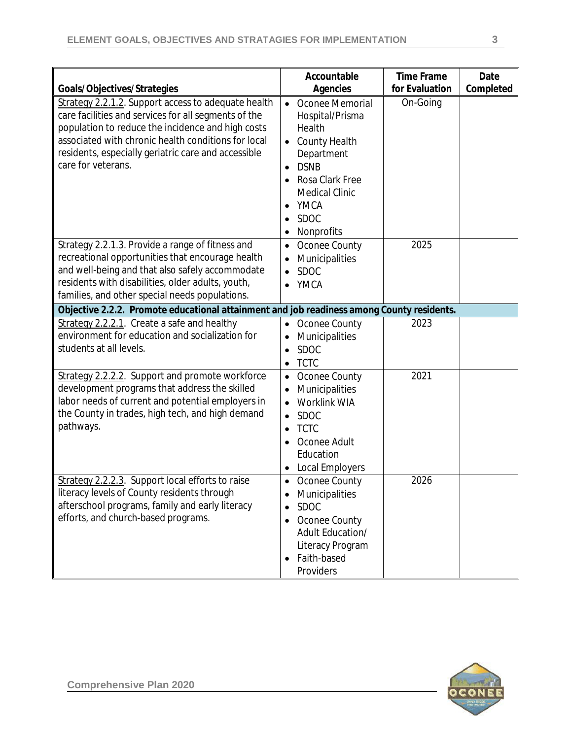| Goals/Objectives/Strategies                                                                                                                                                                                                                                                                          | Accountable<br><b>Agencies</b>                                                                                                                                                                                                           | <b>Time Frame</b><br>for Evaluation | Date<br>Completed |
|------------------------------------------------------------------------------------------------------------------------------------------------------------------------------------------------------------------------------------------------------------------------------------------------------|------------------------------------------------------------------------------------------------------------------------------------------------------------------------------------------------------------------------------------------|-------------------------------------|-------------------|
| Strategy 2.2.1.2. Support access to adequate health<br>care facilities and services for all segments of the<br>population to reduce the incidence and high costs<br>associated with chronic health conditions for local<br>residents, especially geriatric care and accessible<br>care for veterans. | • Oconee Memorial<br>Hospital/Prisma<br>Health<br><b>County Health</b><br>$\bullet$<br>Department<br><b>DSNB</b><br>$\bullet$<br>Rosa Clark Free<br><b>Medical Clinic</b><br>YMCA<br>$\bullet$<br><b>SDOC</b><br>Nonprofits<br>$\bullet$ | On-Going                            |                   |
| Strategy 2.2.1.3. Provide a range of fitness and<br>recreational opportunities that encourage health<br>and well-being and that also safely accommodate<br>residents with disabilities, older adults, youth,<br>families, and other special needs populations.                                       | Oconee County<br>$\bullet$<br>Municipalities<br>$\bullet$<br><b>SDOC</b><br>$\bullet$<br><b>YMCA</b><br>$\bullet$                                                                                                                        | 2025                                |                   |
| Objective 2.2.2. Promote educational attainment and job readiness among County residents.                                                                                                                                                                                                            |                                                                                                                                                                                                                                          |                                     |                   |
| Strategy 2.2.2.1. Create a safe and healthy<br>environment for education and socialization for<br>students at all levels.                                                                                                                                                                            | Oconee County<br>$\bullet$<br>Municipalities<br>$\bullet$<br><b>SDOC</b><br>$\bullet$<br><b>TCTC</b><br>$\bullet$                                                                                                                        | 2023                                |                   |
| Strategy 2.2.2.2. Support and promote workforce<br>development programs that address the skilled<br>labor needs of current and potential employers in<br>the County in trades, high tech, and high demand<br>pathways.                                                                               | Oconee County<br>$\bullet$<br>Municipalities<br>$\bullet$<br><b>Worklink WIA</b><br><b>SDOC</b><br>$\bullet$<br><b>TCTC</b><br>$\bullet$<br>Oconee Adult<br>Education<br>Local Employers                                                 | 2021                                |                   |
| Strategy 2.2.2.3. Support local efforts to raise<br>literacy levels of County residents through<br>afterschool programs, family and early literacy<br>efforts, and church-based programs.                                                                                                            | Oconee County<br>$\bullet$<br>Municipalities<br>$\bullet$<br><b>SDOC</b><br>Oconee County<br>Adult Education/<br>Literacy Program<br>Faith-based<br>Providers                                                                            | 2026                                |                   |

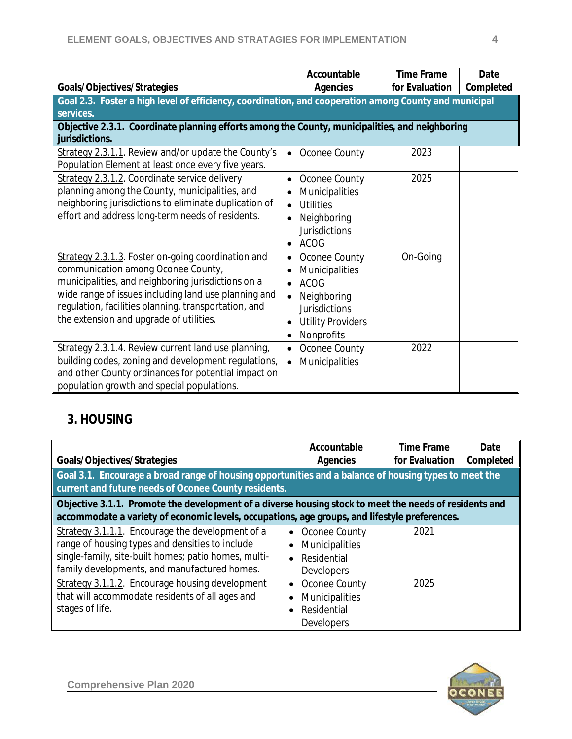| Goals/Objectives/Strategies                                                                                                                                                                                                                                                                               | Accountable<br>Agencies                                                                                                                      | <b>Time Frame</b><br>for Evaluation | Date<br>Completed |
|-----------------------------------------------------------------------------------------------------------------------------------------------------------------------------------------------------------------------------------------------------------------------------------------------------------|----------------------------------------------------------------------------------------------------------------------------------------------|-------------------------------------|-------------------|
| Goal 2.3. Foster a high level of efficiency, coordination, and cooperation among County and municipal                                                                                                                                                                                                     |                                                                                                                                              |                                     |                   |
| services.                                                                                                                                                                                                                                                                                                 |                                                                                                                                              |                                     |                   |
| Objective 2.3.1. Coordinate planning efforts among the County, municipalities, and neighboring                                                                                                                                                                                                            |                                                                                                                                              |                                     |                   |
| jurisdictions.                                                                                                                                                                                                                                                                                            |                                                                                                                                              |                                     |                   |
| Strategy 2.3.1.1. Review and/or update the County's<br>Population Element at least once every five years.                                                                                                                                                                                                 | Oconee County<br>$\bullet$                                                                                                                   | 2023                                |                   |
| Strategy 2.3.1.2. Coordinate service delivery<br>planning among the County, municipalities, and<br>neighboring jurisdictions to eliminate duplication of<br>effort and address long-term needs of residents.                                                                                              | Oconee County<br>Municipalities<br><b>Utilities</b><br>Neighboring<br><b>Jurisdictions</b><br>ACOG<br>$\bullet$                              | 2025                                |                   |
| Strategy 2.3.1.3. Foster on-going coordination and<br>communication among Oconee County,<br>municipalities, and neighboring jurisdictions on a<br>wide range of issues including land use planning and<br>regulation, facilities planning, transportation, and<br>the extension and upgrade of utilities. | Oconee County<br>Municipalities<br><b>ACOG</b><br>Neighboring<br><b>Jurisdictions</b><br><b>Utility Providers</b><br>Nonprofits<br>$\bullet$ | On-Going                            |                   |
| Strategy 2.3.1.4. Review current land use planning,<br>building codes, zoning and development regulations,<br>and other County ordinances for potential impact on<br>population growth and special populations.                                                                                           | Oconee County<br>$\bullet$<br>Municipalities<br>$\bullet$                                                                                    | 2022                                |                   |

## **3. HOUSING**

| Goals/Objectives/Strategies                                                                                                                                                                                 | Accountable<br>Agencies                                                          | <b>Time Frame</b><br>for Evaluation | Date<br>Completed |
|-------------------------------------------------------------------------------------------------------------------------------------------------------------------------------------------------------------|----------------------------------------------------------------------------------|-------------------------------------|-------------------|
| Goal 3.1. Encourage a broad range of housing opportunities and a balance of housing types to meet the<br>current and future needs of Oconee County residents.                                               |                                                                                  |                                     |                   |
| Objective 3.1.1. Promote the development of a diverse housing stock to meet the needs of residents and<br>accommodate a variety of economic levels, occupations, age groups, and lifestyle preferences.     |                                                                                  |                                     |                   |
| Strategy 3.1.1.1. Encourage the development of a<br>range of housing types and densities to include<br>single-family, site-built homes; patio homes, multi-<br>family developments, and manufactured homes. | Oconee County<br>$\bullet$<br>Municipalities<br>Residential<br><b>Developers</b> | 2021                                |                   |
| Strategy 3.1.1.2. Encourage housing development<br>that will accommodate residents of all ages and<br>stages of life.                                                                                       | Oconee County<br>$\bullet$<br>Municipalities<br>Residential<br><b>Developers</b> | 2025                                |                   |

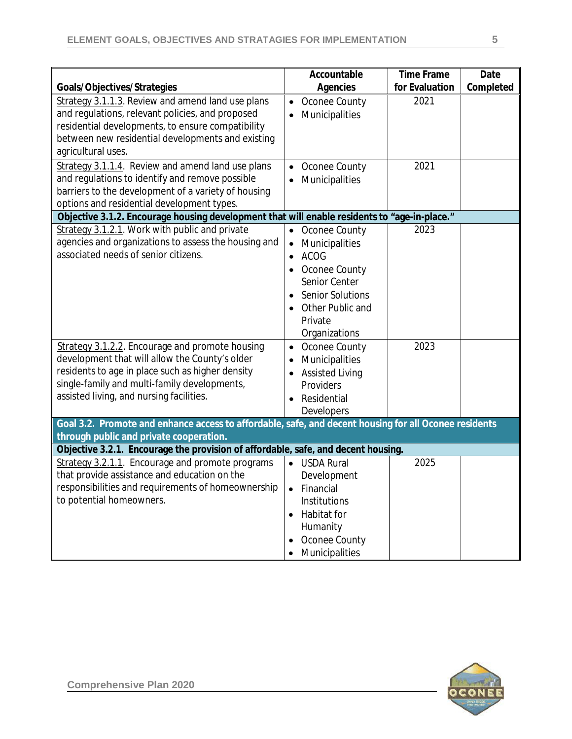|                                                                                                       | Accountable                 | <b>Time Frame</b> | Date      |
|-------------------------------------------------------------------------------------------------------|-----------------------------|-------------------|-----------|
| Goals/Objectives/Strategies                                                                           | Agencies                    | for Evaluation    | Completed |
| Strategy 3.1.1.3. Review and amend land use plans                                                     | Oconee County<br>$\bullet$  | 2021              |           |
| and regulations, relevant policies, and proposed                                                      | Municipalities<br>$\bullet$ |                   |           |
| residential developments, to ensure compatibility                                                     |                             |                   |           |
| between new residential developments and existing                                                     |                             |                   |           |
| agricultural uses.                                                                                    |                             |                   |           |
| Strategy 3.1.1.4. Review and amend land use plans                                                     | Oconee County<br>$\bullet$  | 2021              |           |
| and regulations to identify and remove possible                                                       | Municipalities              |                   |           |
| barriers to the development of a variety of housing                                                   |                             |                   |           |
| options and residential development types.                                                            |                             |                   |           |
| Objective 3.1.2. Encourage housing development that will enable residents to "age-in-place."          |                             |                   |           |
| Strategy 3.1.2.1. Work with public and private                                                        | Oconee County<br>$\bullet$  | 2023              |           |
| agencies and organizations to assess the housing and<br>associated needs of senior citizens.          | Municipalities<br>$\bullet$ |                   |           |
|                                                                                                       | <b>ACOG</b><br>$\bullet$    |                   |           |
|                                                                                                       | Oconee County               |                   |           |
|                                                                                                       | Senior Center               |                   |           |
|                                                                                                       | <b>Senior Solutions</b>     |                   |           |
|                                                                                                       | Other Public and            |                   |           |
|                                                                                                       | Private                     |                   |           |
|                                                                                                       | Organizations               |                   |           |
| Strategy 3.1.2.2. Encourage and promote housing                                                       | Oconee County<br>$\bullet$  | 2023              |           |
| development that will allow the County's older                                                        | Municipalities<br>$\bullet$ |                   |           |
| residents to age in place such as higher density<br>single-family and multi-family developments,      | <b>Assisted Living</b>      |                   |           |
| assisted living, and nursing facilities.                                                              | Providers                   |                   |           |
|                                                                                                       | Residential                 |                   |           |
|                                                                                                       | Developers                  |                   |           |
| Goal 3.2. Promote and enhance access to affordable, safe, and decent housing for all Oconee residents |                             |                   |           |
| through public and private cooperation.                                                               |                             |                   |           |
| Objective 3.2.1. Encourage the provision of affordable, safe, and decent housing.                     | • USDA Rural                | 2025              |           |
| Strategy 3.2.1.1. Encourage and promote programs<br>that provide assistance and education on the      |                             |                   |           |
|                                                                                                       | Development                 |                   |           |
| responsibilities and requirements of homeownership<br>to potential homeowners.                        | Financial<br>٠              |                   |           |
|                                                                                                       | Institutions<br>Habitat for |                   |           |
|                                                                                                       | ٠<br>Humanity               |                   |           |
|                                                                                                       | Oconee County               |                   |           |
|                                                                                                       |                             |                   |           |
|                                                                                                       | Municipalities              |                   |           |

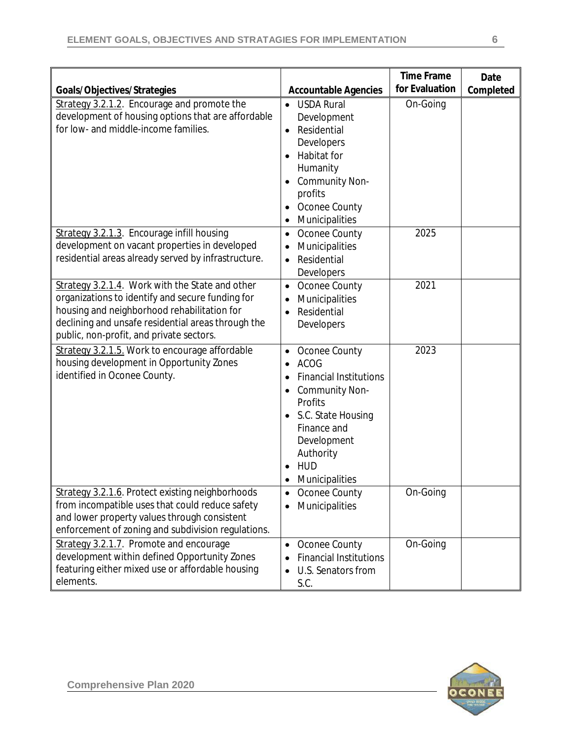| Goals/Objectives/Strategies                                                                                                                                                                                                                          | <b>Accountable Agencies</b>                                                                                                                                                                                                                     | <b>Time Frame</b><br>for Evaluation | Date<br>Completed |
|------------------------------------------------------------------------------------------------------------------------------------------------------------------------------------------------------------------------------------------------------|-------------------------------------------------------------------------------------------------------------------------------------------------------------------------------------------------------------------------------------------------|-------------------------------------|-------------------|
| Strategy 3.2.1.2. Encourage and promote the<br>development of housing options that are affordable<br>for low- and middle-income families.                                                                                                            | <b>USDA Rural</b><br>$\bullet$<br>Development<br>Residential<br>$\bullet$<br>Developers<br>Habitat for<br>Humanity<br><b>Community Non-</b><br>profits<br>Oconee County<br>Municipalities<br>$\bullet$                                          | On-Going                            |                   |
| Strategy 3.2.1.3. Encourage infill housing<br>development on vacant properties in developed<br>residential areas already served by infrastructure.                                                                                                   | Oconee County<br>$\bullet$<br>Municipalities<br>٠<br>Residential<br>$\bullet$<br>Developers                                                                                                                                                     | 2025                                |                   |
| Strategy 3.2.1.4. Work with the State and other<br>organizations to identify and secure funding for<br>housing and neighborhood rehabilitation for<br>declining and unsafe residential areas through the<br>public, non-profit, and private sectors. | Oconee County<br>$\bullet$<br>Municipalities<br>$\bullet$<br>Residential<br>$\bullet$<br>Developers                                                                                                                                             | 2021                                |                   |
| Strategy 3.2.1.5. Work to encourage affordable<br>housing development in Opportunity Zones<br>identified in Oconee County.                                                                                                                           | Oconee County<br>$\bullet$<br><b>ACOG</b><br><b>Financial Institutions</b><br>$\bullet$<br>Community Non-<br>$\bullet$<br>Profits<br>S.C. State Housing<br>$\bullet$<br>Finance and<br>Development<br>Authority<br><b>HUD</b><br>Municipalities | 2023                                |                   |
| Strategy 3.2.1.6. Protect existing neighborhoods<br>from incompatible uses that could reduce safety<br>and lower property values through consistent<br>enforcement of zoning and subdivision regulations.                                            | Oconee County<br>$\bullet$<br>Municipalities<br>$\bullet$                                                                                                                                                                                       | On-Going                            |                   |
| Strategy 3.2.1.7. Promote and encourage<br>development within defined Opportunity Zones<br>featuring either mixed use or affordable housing<br>elements.                                                                                             | Oconee County<br>$\bullet$<br><b>Financial Institutions</b><br>U.S. Senators from<br>S.C.                                                                                                                                                       | On-Going                            |                   |

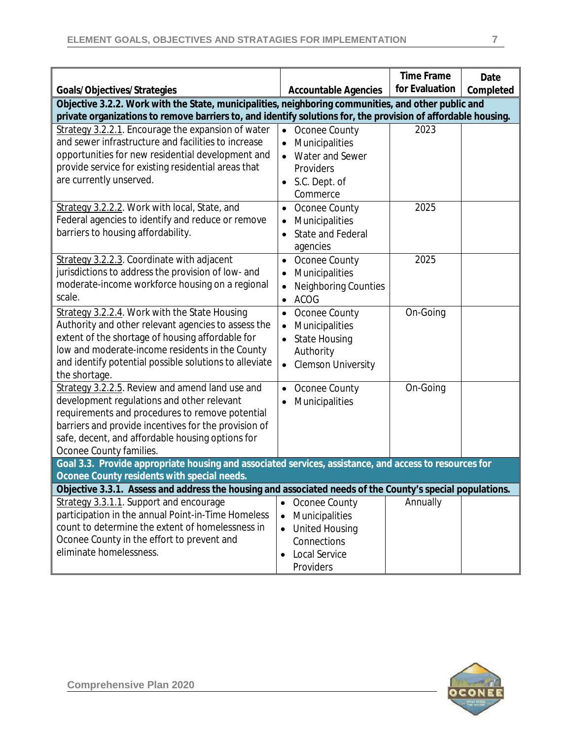| Goals/Objectives/Strategies                                                                                                                                                                                                                                                                                                             | <b>Accountable Agencies</b>                                                                                                                         | <b>Time Frame</b><br>for Evaluation | Date<br>Completed |  |
|-----------------------------------------------------------------------------------------------------------------------------------------------------------------------------------------------------------------------------------------------------------------------------------------------------------------------------------------|-----------------------------------------------------------------------------------------------------------------------------------------------------|-------------------------------------|-------------------|--|
| Objective 3.2.2. Work with the State, municipalities, neighboring communities, and other public and<br>private organizations to remove barriers to, and identify solutions for, the provision of affordable housing.                                                                                                                    |                                                                                                                                                     |                                     |                   |  |
| Strategy 3.2.2.1. Encourage the expansion of water<br>and sewer infrastructure and facilities to increase<br>opportunities for new residential development and<br>provide service for existing residential areas that<br>are currently unserved.                                                                                        | Oconee County<br>$\bullet$<br>Municipalities<br>$\bullet$<br>Water and Sewer<br>Providers<br>S.C. Dept. of<br>Commerce                              | 2023                                |                   |  |
| Strategy 3.2.2.2. Work with local, State, and<br>Federal agencies to identify and reduce or remove<br>barriers to housing affordability.                                                                                                                                                                                                | Oconee County<br>$\bullet$<br>Municipalities<br>$\bullet$<br><b>State and Federal</b><br>agencies                                                   | 2025                                |                   |  |
| Strategy 3.2.2.3. Coordinate with adjacent<br>jurisdictions to address the provision of low- and<br>moderate-income workforce housing on a regional<br>scale.                                                                                                                                                                           | Oconee County<br>$\bullet$<br>Municipalities<br>Neighboring Counties<br>$\bullet$<br><b>ACOG</b><br>$\bullet$                                       | 2025                                |                   |  |
| Strategy 3.2.2.4. Work with the State Housing<br>Authority and other relevant agencies to assess the<br>extent of the shortage of housing affordable for<br>low and moderate-income residents in the County<br>and identify potential possible solutions to alleviate<br>the shortage.                                                  | Oconee County<br>Municipalities<br>$\bullet$<br><b>State Housing</b><br>Authority<br><b>Clemson University</b><br>$\bullet$                         | On-Going                            |                   |  |
| Strategy 3.2.2.5. Review and amend land use and<br>development regulations and other relevant<br>requirements and procedures to remove potential<br>barriers and provide incentives for the provision of<br>safe, decent, and affordable housing options for<br>Oconee County families.                                                 | Oconee County<br>$\bullet$<br>Municipalities<br>$\bullet$                                                                                           | On-Going                            |                   |  |
| Goal 3.3. Provide appropriate housing and associated services, assistance, and access to resources for<br>Oconee County residents with special needs.                                                                                                                                                                                   |                                                                                                                                                     |                                     |                   |  |
| Objective 3.3.1. Assess and address the housing and associated needs of the County's special populations.<br>Strategy 3.3.1.1. Support and encourage<br>participation in the annual Point-in-Time Homeless<br>count to determine the extent of homelessness in<br>Oconee County in the effort to prevent and<br>eliminate homelessness. | Oconee County<br>Municipalities<br>$\bullet$<br><b>United Housing</b><br>$\bullet$<br>Connections<br><b>Local Service</b><br>$\bullet$<br>Providers | Annually                            |                   |  |

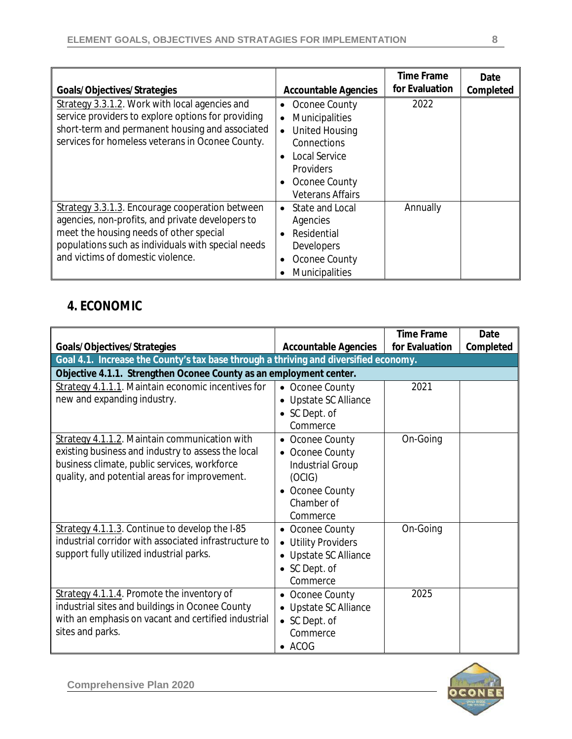| Goals/Objectives/Strategies                                                                                                                                                                                                               | <b>Accountable Agencies</b>                                                                                                                                                  | <b>Time Frame</b><br>for Evaluation | Date<br>Completed |
|-------------------------------------------------------------------------------------------------------------------------------------------------------------------------------------------------------------------------------------------|------------------------------------------------------------------------------------------------------------------------------------------------------------------------------|-------------------------------------|-------------------|
| Strategy 3.3.1.2. Work with local agencies and<br>service providers to explore options for providing<br>short-term and permanent housing and associated<br>services for homeless veterans in Oconee County.                               | Oconee County<br><b>Municipalities</b><br>$\bullet$<br><b>United Housing</b><br>Connections<br><b>Local Service</b><br>Providers<br>Oconee County<br><b>Veterans Affairs</b> | 2022                                |                   |
| Strategy 3.3.1.3. Encourage cooperation between<br>agencies, non-profits, and private developers to<br>meet the housing needs of other special<br>populations such as individuals with special needs<br>and victims of domestic violence. | State and Local<br>$\bullet$<br>Agencies<br>Residential<br>Developers<br>Oconee County<br><b>Municipalities</b>                                                              | Annually                            |                   |

#### **4. ECONOMIC**

|                                                                                      |                             | <b>Time Frame</b> | Date      |
|--------------------------------------------------------------------------------------|-----------------------------|-------------------|-----------|
| Goals/Objectives/Strategies                                                          | <b>Accountable Agencies</b> | for Evaluation    | Completed |
| Goal 4.1. Increase the County's tax base through a thriving and diversified economy. |                             |                   |           |
| Objective 4.1.1. Strengthen Oconee County as an employment center.                   |                             |                   |           |
| Strategy 4.1.1.1. Maintain economic incentives for                                   | • Oconee County             | 2021              |           |
| new and expanding industry.                                                          | Upstate SC Alliance         |                   |           |
|                                                                                      | • SC Dept. of               |                   |           |
|                                                                                      | Commerce                    |                   |           |
| Strategy 4.1.1.2. Maintain communication with                                        | Oconee County<br>$\bullet$  | On-Going          |           |
| existing business and industry to assess the local                                   | Oconee County               |                   |           |
| business climate, public services, workforce                                         | <b>Industrial Group</b>     |                   |           |
| quality, and potential areas for improvement.                                        | (OCIG)                      |                   |           |
|                                                                                      | • Oconee County             |                   |           |
|                                                                                      | Chamber of                  |                   |           |
|                                                                                      | Commerce                    |                   |           |
| Strategy 4.1.1.3. Continue to develop the I-85                                       | • Oconee County             | On-Going          |           |
| industrial corridor with associated infrastructure to                                | • Utility Providers         |                   |           |
| support fully utilized industrial parks.                                             | Upstate SC Alliance         |                   |           |
|                                                                                      | • SC Dept. of               |                   |           |
|                                                                                      | Commerce                    |                   |           |
| Strategy 4.1.1.4. Promote the inventory of                                           | • Oconee County             | 2025              |           |
| industrial sites and buildings in Oconee County                                      | • Upstate SC Alliance       |                   |           |
| with an emphasis on vacant and certified industrial                                  | • SC Dept. of               |                   |           |
| sites and parks.                                                                     | Commerce                    |                   |           |
|                                                                                      | $\bullet$ ACOG              |                   |           |

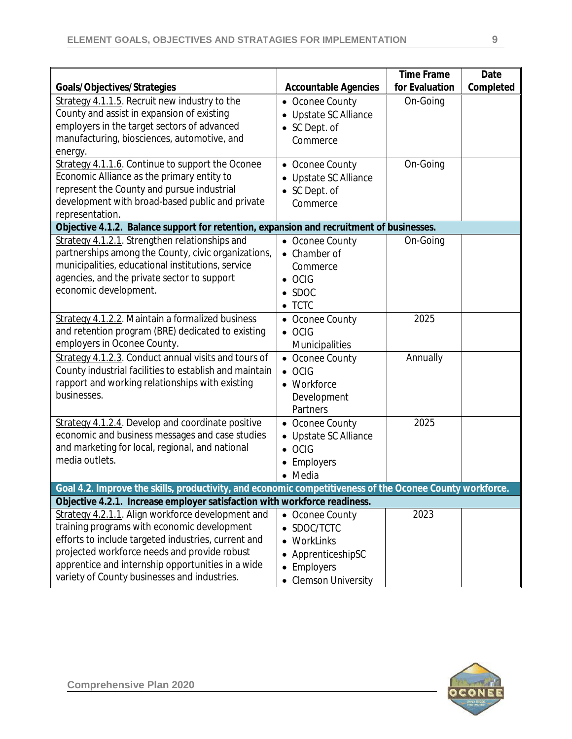|                                                                                          |                                                                                                                                                                                       | <b>Time Frame</b> | Date      |  |
|------------------------------------------------------------------------------------------|---------------------------------------------------------------------------------------------------------------------------------------------------------------------------------------|-------------------|-----------|--|
| Goals/Objectives/Strategies                                                              | <b>Accountable Agencies</b>                                                                                                                                                           | for Evaluation    | Completed |  |
| Strategy 4.1.1.5. Recruit new industry to the                                            | Oconee County<br>$\bullet$                                                                                                                                                            | On-Going          |           |  |
| County and assist in expansion of existing                                               | Upstate SC Alliance                                                                                                                                                                   |                   |           |  |
| employers in the target sectors of advanced                                              | SC Dept. of                                                                                                                                                                           |                   |           |  |
| manufacturing, biosciences, automotive, and                                              | Commerce                                                                                                                                                                              |                   |           |  |
| energy.                                                                                  |                                                                                                                                                                                       |                   |           |  |
| Strategy 4.1.1.6. Continue to support the Oconee                                         | • Oconee County                                                                                                                                                                       | On-Going          |           |  |
| Economic Alliance as the primary entity to                                               | Upstate SC Alliance                                                                                                                                                                   |                   |           |  |
| represent the County and pursue industrial                                               | • SC Dept. of                                                                                                                                                                         |                   |           |  |
| development with broad-based public and private                                          | Commerce                                                                                                                                                                              |                   |           |  |
| representation.                                                                          |                                                                                                                                                                                       |                   |           |  |
| Objective 4.1.2. Balance support for retention, expansion and recruitment of businesses. |                                                                                                                                                                                       |                   |           |  |
| Strategy 4.1.2.1. Strengthen relationships and                                           | • Oconee County                                                                                                                                                                       | On-Going          |           |  |
| partnerships among the County, civic organizations,                                      | • Chamber of                                                                                                                                                                          |                   |           |  |
| municipalities, educational institutions, service                                        | Commerce                                                                                                                                                                              |                   |           |  |
| agencies, and the private sector to support                                              | $\bullet$ OCIG                                                                                                                                                                        |                   |           |  |
| economic development.                                                                    | SDOC                                                                                                                                                                                  |                   |           |  |
|                                                                                          | $\bullet$ TCTC                                                                                                                                                                        |                   |           |  |
| Strategy 4.1.2.2. Maintain a formalized business                                         | • Oconee County                                                                                                                                                                       | 2025              |           |  |
| and retention program (BRE) dedicated to existing                                        | $\bullet$ OCIG                                                                                                                                                                        |                   |           |  |
| employers in Oconee County.                                                              | Municipalities                                                                                                                                                                        |                   |           |  |
| Strategy 4.1.2.3. Conduct annual visits and tours of                                     | • Oconee County                                                                                                                                                                       | Annually          |           |  |
| County industrial facilities to establish and maintain                                   | $\bullet$ OCIG                                                                                                                                                                        |                   |           |  |
| rapport and working relationships with existing                                          | • Workforce                                                                                                                                                                           |                   |           |  |
| businesses.                                                                              | Development                                                                                                                                                                           |                   |           |  |
|                                                                                          | Partners                                                                                                                                                                              |                   |           |  |
| Strategy 4.1.2.4. Develop and coordinate positive                                        | • Oconee County                                                                                                                                                                       | 2025              |           |  |
| economic and business messages and case studies                                          | Upstate SC Alliance                                                                                                                                                                   |                   |           |  |
| and marketing for local, regional, and national                                          | OCIG                                                                                                                                                                                  |                   |           |  |
| media outlets.                                                                           | Employers                                                                                                                                                                             |                   |           |  |
|                                                                                          | • Media                                                                                                                                                                               |                   |           |  |
|                                                                                          |                                                                                                                                                                                       |                   |           |  |
|                                                                                          | Goal 4.2. Improve the skills, productivity, and economic competitiveness of the Oconee County workforce.<br>Objective 4.2.1. Increase employer satisfaction with workforce readiness. |                   |           |  |
| Strategy 4.2.1.1. Align workforce development and                                        | • Oconee County                                                                                                                                                                       | 2023              |           |  |
| training programs with economic development                                              | SDOC/TCTC<br>$\bullet$                                                                                                                                                                |                   |           |  |
| efforts to include targeted industries, current and                                      | WorkLinks                                                                                                                                                                             |                   |           |  |
| projected workforce needs and provide robust                                             | ApprenticeshipSC<br>٠                                                                                                                                                                 |                   |           |  |
| apprentice and internship opportunities in a wide                                        | Employers                                                                                                                                                                             |                   |           |  |
| variety of County businesses and industries.                                             | $\bullet$                                                                                                                                                                             |                   |           |  |
|                                                                                          | <b>Clemson University</b>                                                                                                                                                             |                   |           |  |

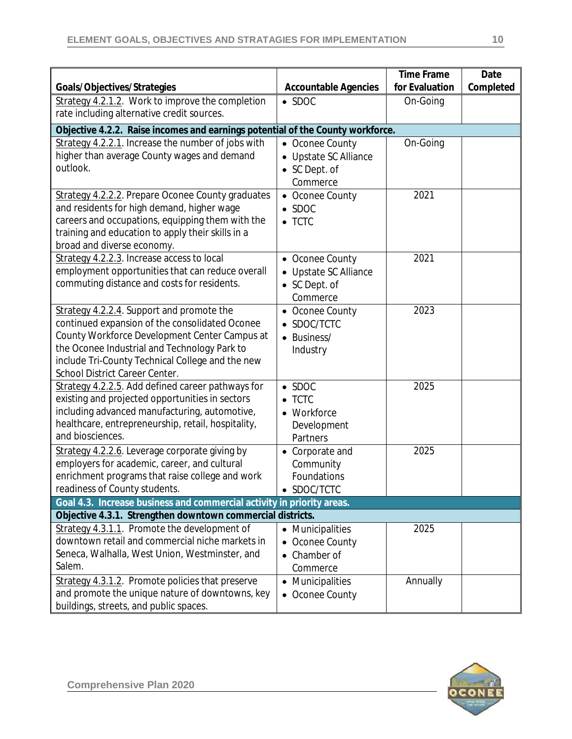| for Evaluation<br>Completed<br>Goals/Objectives/Strategies<br><b>Accountable Agencies</b>                                              |  |
|----------------------------------------------------------------------------------------------------------------------------------------|--|
| Strategy 4.2.1.2. Work to improve the completion<br>On-Going<br>$\bullet$ SDOC                                                         |  |
| rate including alternative credit sources.                                                                                             |  |
| Objective 4.2.2. Raise incomes and earnings potential of the County workforce.                                                         |  |
| Strategy 4.2.2.1. Increase the number of jobs with<br>On-Going<br>• Oconee County                                                      |  |
| higher than average County wages and demand<br>Upstate SC Alliance                                                                     |  |
| outlook.<br>• SC Dept. of                                                                                                              |  |
| Commerce                                                                                                                               |  |
| Strategy 4.2.2.2. Prepare Oconee County graduates<br>2021<br>• Oconee County                                                           |  |
| and residents for high demand, higher wage<br>$\bullet$ SDOC                                                                           |  |
| careers and occupations, equipping them with the<br>$\bullet$ TCTC                                                                     |  |
| training and education to apply their skills in a                                                                                      |  |
| broad and diverse economy.                                                                                                             |  |
| 2021<br>Strategy 4.2.2.3. Increase access to local<br>• Oconee County                                                                  |  |
| employment opportunities that can reduce overall<br>• Upstate SC Alliance                                                              |  |
| commuting distance and costs for residents.<br>• SC Dept. of                                                                           |  |
| Commerce                                                                                                                               |  |
| Strategy 4.2.2.4. Support and promote the<br>2023<br>• Oconee County                                                                   |  |
| continued expansion of the consolidated Oconee<br>SDOC/TCTC                                                                            |  |
| County Workforce Development Center Campus at<br>• Business/                                                                           |  |
| the Oconee Industrial and Technology Park to<br>Industry                                                                               |  |
| include Tri-County Technical College and the new                                                                                       |  |
| School District Career Center.                                                                                                         |  |
| Strategy 4.2.2.5. Add defined career pathways for<br>2025<br>$\bullet$ SDOC                                                            |  |
| existing and projected opportunities in sectors<br>$\bullet$ TCTC                                                                      |  |
| including advanced manufacturing, automotive,<br>• Workforce                                                                           |  |
| healthcare, entrepreneurship, retail, hospitality,<br>Development<br>and biosciences.                                                  |  |
| Partners                                                                                                                               |  |
| Strategy 4.2.2.6. Leverage corporate giving by<br>2025<br>• Corporate and                                                              |  |
| employers for academic, career, and cultural<br>Community                                                                              |  |
| enrichment programs that raise college and work<br>Foundations                                                                         |  |
| readiness of County students.<br>SDOC/TCTC                                                                                             |  |
| Goal 4.3. Increase business and commercial activity in priority areas.                                                                 |  |
| Objective 4.3.1. Strengthen downtown commercial districts.<br>Strategy 4.3.1.1. Promote the development of<br>2025<br>• Municipalities |  |
| downtown retail and commercial niche markets in                                                                                        |  |
| Oconee County<br>Seneca, Walhalla, West Union, Westminster, and<br>Chamber of                                                          |  |
| $\bullet$<br>Salem.<br>Commerce                                                                                                        |  |
| Strategy 4.3.1.2. Promote policies that preserve<br>Annually                                                                           |  |
| • Municipalities<br>and promote the unique nature of downtowns, key                                                                    |  |
| • Oconee County<br>buildings, streets, and public spaces.                                                                              |  |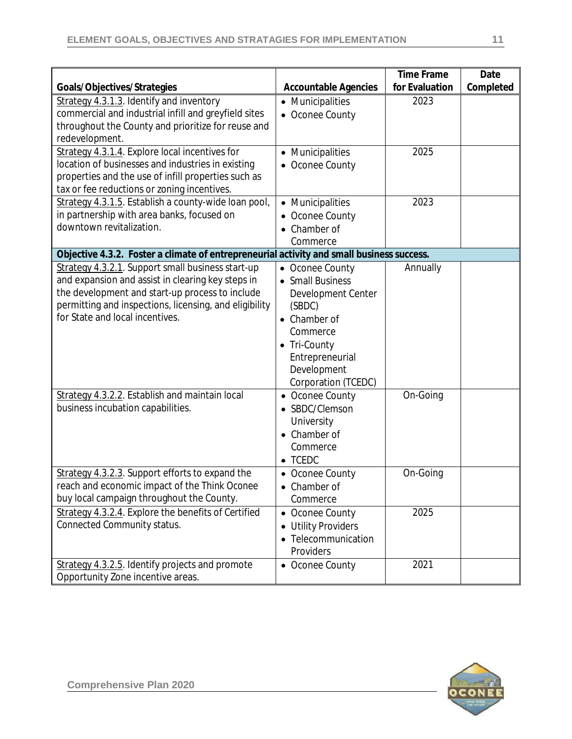|                                                                                           |                                | <b>Time Frame</b> | Date      |
|-------------------------------------------------------------------------------------------|--------------------------------|-------------------|-----------|
| Goals/Objectives/Strategies                                                               | <b>Accountable Agencies</b>    | for Evaluation    | Completed |
| Strategy 4.3.1.3. Identify and inventory                                                  | • Municipalities               | 2023              |           |
| commercial and industrial infill and greyfield sites                                      | • Oconee County                |                   |           |
| throughout the County and prioritize for reuse and<br>redevelopment.                      |                                |                   |           |
| Strategy 4.3.1.4. Explore local incentives for                                            | • Municipalities               | 2025              |           |
| location of businesses and industries in existing                                         | • Oconee County                |                   |           |
| properties and the use of infill properties such as                                       |                                |                   |           |
| tax or fee reductions or zoning incentives.                                               |                                |                   |           |
| Strategy 4.3.1.5. Establish a county-wide loan pool,                                      | • Municipalities               | 2023              |           |
| in partnership with area banks, focused on                                                | • Oconee County                |                   |           |
| downtown revitalization.                                                                  | Chamber of                     |                   |           |
|                                                                                           | Commerce                       |                   |           |
| Objective 4.3.2. Foster a climate of entrepreneurial activity and small business success. |                                |                   |           |
| Strategy 4.3.2.1. Support small business start-up                                         | • Oconee County                | Annually          |           |
| and expansion and assist in clearing key steps in                                         | • Small Business               |                   |           |
| the development and start-up process to include                                           | Development Center             |                   |           |
| permitting and inspections, licensing, and eligibility                                    | (SBDC)                         |                   |           |
| for State and local incentives.                                                           | Chamber of                     |                   |           |
|                                                                                           | Commerce                       |                   |           |
|                                                                                           | • Tri-County                   |                   |           |
|                                                                                           | Entrepreneurial                |                   |           |
|                                                                                           | Development                    |                   |           |
|                                                                                           | Corporation (TCEDC)            |                   |           |
| Strategy 4.3.2.2. Establish and maintain local                                            | • Oconee County                | On-Going          |           |
| business incubation capabilities.                                                         | • SBDC/Clemson                 |                   |           |
|                                                                                           | University                     |                   |           |
|                                                                                           | • Chamber of                   |                   |           |
|                                                                                           | Commerce                       |                   |           |
|                                                                                           | $\bullet$ TCEDC                |                   |           |
| Strategy 4.3.2.3. Support efforts to expand the                                           | • Oconee County                | On-Going          |           |
| reach and economic impact of the Think Oconee                                             | • Chamber of                   |                   |           |
| buy local campaign throughout the County.                                                 | Commerce                       |                   |           |
| Strategy 4.3.2.4. Explore the benefits of Certified                                       | • Oconee County                | 2025              |           |
| Connected Community status.                                                               | <b>Utility Providers</b><br>٠  |                   |           |
|                                                                                           | Telecommunication<br>$\bullet$ |                   |           |
|                                                                                           | Providers                      |                   |           |
| Strategy 4.3.2.5. Identify projects and promote                                           | • Oconee County                | 2021              |           |
| Opportunity Zone incentive areas.                                                         |                                |                   |           |

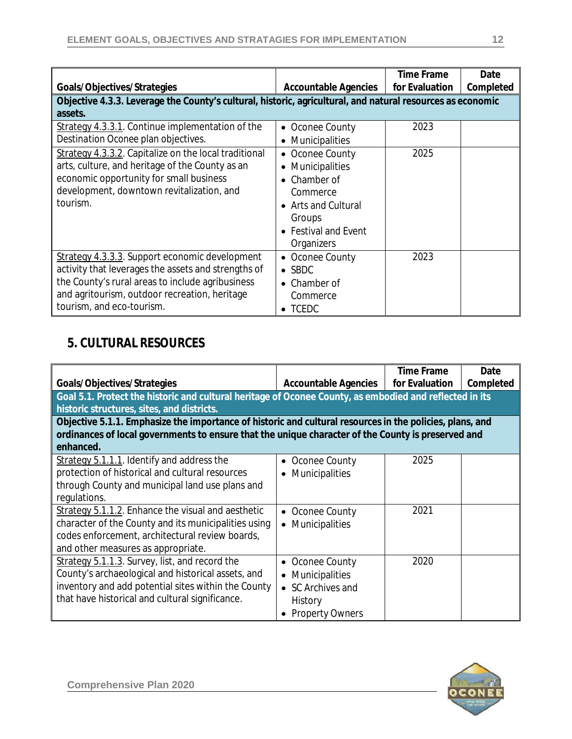| Goals/Objectives/Strategies                                                                                | <b>Accountable Agencies</b> | <b>Time Frame</b><br>for Evaluation | Date<br>Completed |
|------------------------------------------------------------------------------------------------------------|-----------------------------|-------------------------------------|-------------------|
| Objective 4.3.3. Leverage the County's cultural, historic, agricultural, and natural resources as economic |                             |                                     |                   |
| assets.                                                                                                    |                             |                                     |                   |
| Strategy 4.3.3.1. Continue implementation of the                                                           | • Oconee County             | 2023                                |                   |
| Destination Oconee plan objectives.                                                                        | Municipalities<br>$\bullet$ |                                     |                   |
| Strategy 4.3.3.2. Capitalize on the local traditional                                                      | • Oconee County             | 2025                                |                   |
| arts, culture, and heritage of the County as an                                                            | <b>Municipalities</b>       |                                     |                   |
| economic opportunity for small business                                                                    | Chamber of                  |                                     |                   |
| development, downtown revitalization, and                                                                  | Commerce                    |                                     |                   |
| tourism.                                                                                                   | <b>Arts and Cultural</b>    |                                     |                   |
|                                                                                                            | Groups                      |                                     |                   |
|                                                                                                            | • Festival and Event        |                                     |                   |
|                                                                                                            | Organizers                  |                                     |                   |
| Strategy 4.3.3.3. Support economic development                                                             | • Oconee County             | 2023                                |                   |
| activity that leverages the assets and strengths of                                                        | $\bullet$ SBDC              |                                     |                   |
| the County's rural areas to include agribusiness                                                           | Chamber of                  |                                     |                   |
| and agritourism, outdoor recreation, heritage                                                              | Commerce                    |                                     |                   |
| tourism, and eco-tourism.                                                                                  | $\bullet$ TCEDC             |                                     |                   |

# **5. CULTURAL RESOURCES**

|                                                                                                          |                             | <b>Time Frame</b> | Date      |
|----------------------------------------------------------------------------------------------------------|-----------------------------|-------------------|-----------|
| Goals/Objectives/Strategies                                                                              | <b>Accountable Agencies</b> | for Evaluation    | Completed |
| Goal 5.1. Protect the historic and cultural heritage of Oconee County, as embodied and reflected in its  |                             |                   |           |
| historic structures, sites, and districts.                                                               |                             |                   |           |
| Objective 5.1.1. Emphasize the importance of historic and cultural resources in the policies, plans, and |                             |                   |           |
| ordinances of local governments to ensure that the unique character of the County is preserved and       |                             |                   |           |
| enhanced.                                                                                                |                             |                   |           |
| $Strategy 5.1.1.1$ . Identify and address the                                                            | Oconee County               | 2025              |           |
| protection of historical and cultural resources                                                          | <b>Municipalities</b>       |                   |           |
| through County and municipal land use plans and                                                          |                             |                   |           |
| regulations.                                                                                             |                             |                   |           |
| Strategy 5.1.1.2. Enhance the visual and aesthetic                                                       | • Oconee County             | 2021              |           |
| character of the County and its municipalities using                                                     | • Municipalities            |                   |           |
| codes enforcement, architectural review boards,                                                          |                             |                   |           |
| and other measures as appropriate.                                                                       |                             |                   |           |
| Strategy 5.1.1.3. Survey, list, and record the                                                           | Oconee County               | 2020              |           |
| County's archaeological and historical assets, and                                                       | • Municipalities            |                   |           |
| inventory and add potential sites within the County                                                      | • SC Archives and           |                   |           |
| that have historical and cultural significance.                                                          | History                     |                   |           |
|                                                                                                          | • Property Owners           |                   |           |

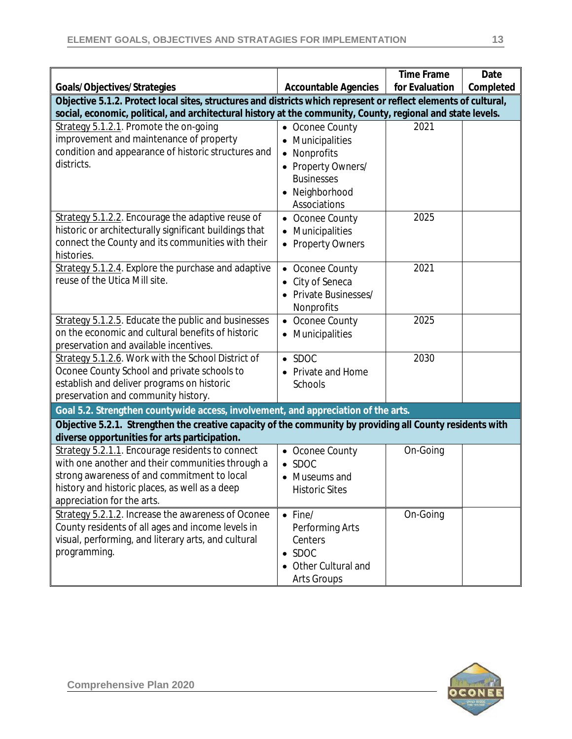|                                                                                                                 |                             | <b>Time Frame</b> | Date      |
|-----------------------------------------------------------------------------------------------------------------|-----------------------------|-------------------|-----------|
| Goals/Objectives/Strategies                                                                                     | <b>Accountable Agencies</b> | for Evaluation    | Completed |
| Objective 5.1.2. Protect local sites, structures and districts which represent or reflect elements of cultural, |                             |                   |           |
| social, economic, political, and architectural history at the community, County, regional and state levels.     |                             |                   |           |
| Strategy 5.1.2.1. Promote the on-going                                                                          | Oconee County               | 2021              |           |
| improvement and maintenance of property                                                                         | Municipalities              |                   |           |
| condition and appearance of historic structures and                                                             | Nonprofits<br>$\bullet$     |                   |           |
| districts.                                                                                                      | • Property Owners/          |                   |           |
|                                                                                                                 | <b>Businesses</b>           |                   |           |
|                                                                                                                 | • Neighborhood              |                   |           |
|                                                                                                                 | Associations                |                   |           |
| Strategy 5.1.2.2. Encourage the adaptive reuse of                                                               | • Oconee County             | 2025              |           |
| historic or architecturally significant buildings that                                                          | Municipalities              |                   |           |
| connect the County and its communities with their                                                               | <b>Property Owners</b>      |                   |           |
| histories.                                                                                                      |                             |                   |           |
| Strategy 5.1.2.4. Explore the purchase and adaptive                                                             | Oconee County               | 2021              |           |
| reuse of the Utica Mill site.                                                                                   | City of Seneca              |                   |           |
|                                                                                                                 | <b>Private Businesses/</b>  |                   |           |
|                                                                                                                 | Nonprofits                  |                   |           |
| Strategy 5.1.2.5. Educate the public and businesses                                                             | • Oconee County             | 2025              |           |
| on the economic and cultural benefits of historic                                                               | Municipalities              |                   |           |
| preservation and available incentives.                                                                          |                             |                   |           |
| Strategy 5.1.2.6. Work with the School District of                                                              | $\bullet$ SDOC              | 2030              |           |
| Oconee County School and private schools to                                                                     | • Private and Home          |                   |           |
| establish and deliver programs on historic                                                                      | Schools                     |                   |           |
| preservation and community history.                                                                             |                             |                   |           |
| Goal 5.2. Strengthen countywide access, involvement, and appreciation of the arts.                              |                             |                   |           |
| Objective 5.2.1. Strengthen the creative capacity of the community by providing all County residents with       |                             |                   |           |
| diverse opportunities for arts participation.                                                                   |                             |                   |           |
| Strategy 5.2.1.1. Encourage residents to connect                                                                | • Oconee County             | On-Going          |           |
| with one another and their communities through a                                                                | <b>SDOC</b>                 |                   |           |
| strong awareness of and commitment to local                                                                     | • Museums and               |                   |           |
| history and historic places, as well as a deep<br>appreciation for the arts.                                    | <b>Historic Sites</b>       |                   |           |
| Strategy 5.2.1.2. Increase the awareness of Oconee                                                              |                             |                   |           |
| County residents of all ages and income levels in                                                               | $\bullet$ Fine/             | On-Going          |           |
| visual, performing, and literary arts, and cultural                                                             | Performing Arts<br>Centers  |                   |           |
| programming.                                                                                                    | $\bullet$ SDOC              |                   |           |
|                                                                                                                 | Other Cultural and          |                   |           |
|                                                                                                                 |                             |                   |           |
|                                                                                                                 | <b>Arts Groups</b>          |                   |           |

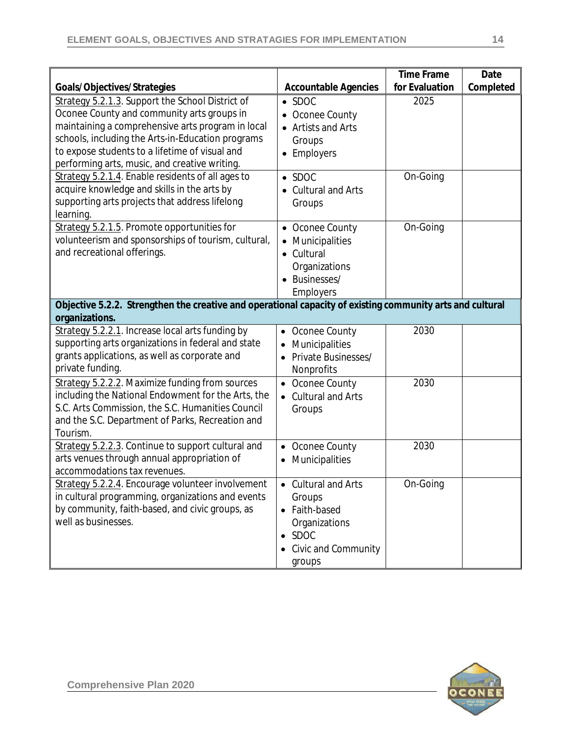|                                                                                                           |                                 | <b>Time Frame</b> | Date      |
|-----------------------------------------------------------------------------------------------------------|---------------------------------|-------------------|-----------|
| Goals/Objectives/Strategies                                                                               | <b>Accountable Agencies</b>     | for Evaluation    | Completed |
| Strategy 5.2.1.3. Support the School District of                                                          | $\bullet$ SDOC                  | 2025              |           |
| Oconee County and community arts groups in                                                                | Oconee County                   |                   |           |
| maintaining a comprehensive arts program in local<br>schools, including the Arts-in-Education programs    | • Artists and Arts              |                   |           |
| to expose students to a lifetime of visual and                                                            | Groups                          |                   |           |
| performing arts, music, and creative writing.                                                             | Employers                       |                   |           |
| Strategy 5.2.1.4. Enable residents of all ages to                                                         | $\bullet$ SDOC                  | On-Going          |           |
| acquire knowledge and skills in the arts by                                                               | • Cultural and Arts             |                   |           |
| supporting arts projects that address lifelong                                                            | Groups                          |                   |           |
| learning.                                                                                                 |                                 |                   |           |
| Strategy 5.2.1.5. Promote opportunities for                                                               | • Oconee County                 | On-Going          |           |
| volunteerism and sponsorships of tourism, cultural,                                                       | • Municipalities                |                   |           |
| and recreational offerings.                                                                               | • Cultural                      |                   |           |
|                                                                                                           | Organizations                   |                   |           |
|                                                                                                           | Businesses/                     |                   |           |
|                                                                                                           | <b>Employers</b>                |                   |           |
| Objective 5.2.2. Strengthen the creative and operational capacity of existing community arts and cultural |                                 |                   |           |
| organizations.                                                                                            |                                 |                   |           |
| Strategy 5.2.2.1. Increase local arts funding by                                                          | • Oconee County                 | 2030              |           |
| supporting arts organizations in federal and state                                                        | Municipalities                  |                   |           |
| grants applications, as well as corporate and                                                             | Private Businesses/             |                   |           |
| private funding.                                                                                          | Nonprofits                      |                   |           |
| Strategy 5.2.2.2. Maximize funding from sources                                                           | • Oconee County                 | 2030              |           |
| including the National Endowment for the Arts, the                                                        | • Cultural and Arts             |                   |           |
| S.C. Arts Commission, the S.C. Humanities Council                                                         | Groups                          |                   |           |
| and the S.C. Department of Parks, Recreation and                                                          |                                 |                   |           |
| Tourism.                                                                                                  |                                 |                   |           |
| Strategy 5.2.2.3. Continue to support cultural and                                                        | • Oconee County                 | 2030              |           |
| arts venues through annual appropriation of                                                               | Municipalities<br>$\bullet$     |                   |           |
| accommodations tax revenues.                                                                              |                                 |                   |           |
| Strategy 5.2.2.4. Encourage volunteer involvement                                                         | Cultural and Arts               | On-Going          |           |
| in cultural programming, organizations and events<br>by community, faith-based, and civic groups, as      | Groups                          |                   |           |
| well as businesses.                                                                                       | • Faith-based                   |                   |           |
|                                                                                                           | Organizations<br>$\bullet$ SDOC |                   |           |
|                                                                                                           |                                 |                   |           |
|                                                                                                           | • Civic and Community           |                   |           |
|                                                                                                           | groups                          |                   |           |

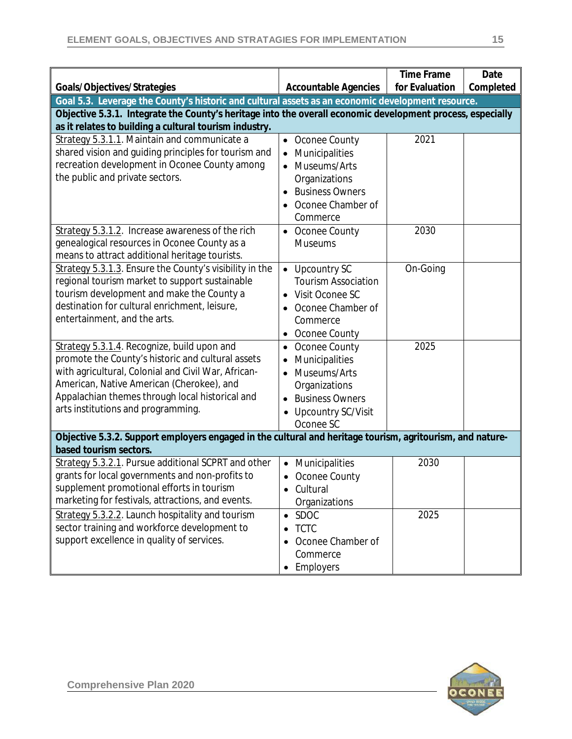|                                                                                                                                                                                                                 |                                           | <b>Time Frame</b> | Date      |
|-----------------------------------------------------------------------------------------------------------------------------------------------------------------------------------------------------------------|-------------------------------------------|-------------------|-----------|
| Goals/Objectives/Strategies                                                                                                                                                                                     | <b>Accountable Agencies</b>               | for Evaluation    | Completed |
| Goal 5.3. Leverage the County's historic and cultural assets as an economic development resource.<br>Objective 5.3.1. Integrate the County's heritage into the overall economic development process, especially |                                           |                   |           |
| as it relates to building a cultural tourism industry.                                                                                                                                                          |                                           |                   |           |
| Strategy 5.3.1.1. Maintain and communicate a                                                                                                                                                                    | Oconee County                             | 2021              |           |
| shared vision and guiding principles for tourism and                                                                                                                                                            | Municipalities<br>$\bullet$               |                   |           |
| recreation development in Oconee County among                                                                                                                                                                   | Museums/Arts                              |                   |           |
| the public and private sectors.                                                                                                                                                                                 | Organizations                             |                   |           |
|                                                                                                                                                                                                                 | <b>Business Owners</b><br>$\bullet$       |                   |           |
|                                                                                                                                                                                                                 | Oconee Chamber of                         |                   |           |
|                                                                                                                                                                                                                 | Commerce                                  |                   |           |
| Strategy 5.3.1.2. Increase awareness of the rich                                                                                                                                                                | • Oconee County                           | 2030              |           |
| genealogical resources in Oconee County as a                                                                                                                                                                    | <b>Museums</b>                            |                   |           |
| means to attract additional heritage tourists.<br>Strategy 5.3.1.3. Ensure the County's visibility in the                                                                                                       | <b>Upcountry SC</b><br>$\bullet$          | On-Going          |           |
| regional tourism market to support sustainable                                                                                                                                                                  | <b>Tourism Association</b>                |                   |           |
| tourism development and make the County a                                                                                                                                                                       | Visit Oconee SC                           |                   |           |
| destination for cultural enrichment, leisure,                                                                                                                                                                   | Oconee Chamber of                         |                   |           |
| entertainment, and the arts.                                                                                                                                                                                    | Commerce                                  |                   |           |
|                                                                                                                                                                                                                 | Oconee County                             |                   |           |
| Strategy 5.3.1.4. Recognize, build upon and                                                                                                                                                                     | Oconee County<br>٠                        | 2025              |           |
| promote the County's historic and cultural assets                                                                                                                                                               | Municipalities                            |                   |           |
| with agricultural, Colonial and Civil War, African-                                                                                                                                                             | Museums/Arts                              |                   |           |
| American, Native American (Cherokee), and                                                                                                                                                                       | Organizations                             |                   |           |
| Appalachian themes through local historical and                                                                                                                                                                 | <b>Business Owners</b>                    |                   |           |
| arts institutions and programming.                                                                                                                                                                              | <b>Upcountry SC/Visit</b>                 |                   |           |
|                                                                                                                                                                                                                 | Oconee SC                                 |                   |           |
| Objective 5.3.2. Support employers engaged in the cultural and heritage tourism, agritourism, and nature-                                                                                                       |                                           |                   |           |
| based tourism sectors.                                                                                                                                                                                          |                                           |                   |           |
| Strategy 5.3.2.1. Pursue additional SCPRT and other<br>grants for local governments and non-profits to                                                                                                          | Municipalities<br>$\bullet$               | 2030              |           |
| supplement promotional efforts in tourism                                                                                                                                                                       | Oconee County<br>$\bullet$                |                   |           |
| marketing for festivals, attractions, and events.                                                                                                                                                               | Cultural<br>$\bullet$                     |                   |           |
| Strategy 5.3.2.2. Launch hospitality and tourism                                                                                                                                                                | Organizations<br><b>SDOC</b><br>$\bullet$ | 2025              |           |
| sector training and workforce development to                                                                                                                                                                    | <b>TCTC</b><br>$\bullet$                  |                   |           |
| support excellence in quality of services.                                                                                                                                                                      | Oconee Chamber of                         |                   |           |
|                                                                                                                                                                                                                 | Commerce                                  |                   |           |
|                                                                                                                                                                                                                 | Employers<br>$\bullet$                    |                   |           |
|                                                                                                                                                                                                                 |                                           |                   |           |

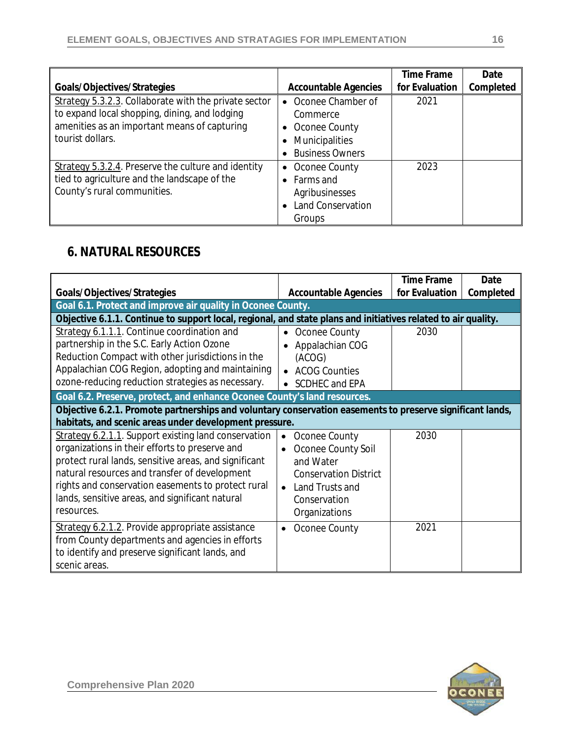|                                                                                                                                                                            |                                                                                                                             | <b>Time Frame</b> | Date      |
|----------------------------------------------------------------------------------------------------------------------------------------------------------------------------|-----------------------------------------------------------------------------------------------------------------------------|-------------------|-----------|
| Goals/Objectives/Strategies                                                                                                                                                | <b>Accountable Agencies</b>                                                                                                 | for Evaluation    | Completed |
| Strategy 5.3.2.3. Collaborate with the private sector<br>to expand local shopping, dining, and lodging<br>amenities as an important means of capturing<br>tourist dollars. | Oconee Chamber of<br>$\bullet$<br>Commerce<br>Oconee County<br>$\bullet$<br><b>Municipalities</b><br><b>Business Owners</b> | 2021              |           |
| Strategy 5.3.2.4. Preserve the culture and identity<br>tied to agriculture and the landscape of the<br>County's rural communities.                                         | Oconee County<br>$\bullet$<br>Farms and<br>$\bullet$<br>Agribusinesses<br><b>Land Conservation</b><br>Groups                | 2023              |           |

### **6. NATURAL RESOURCES**

|                                                                                                                                                                                                                                                                                                                                         |                                                                                                                                                                     | <b>Time Frame</b> | Date      |  |
|-----------------------------------------------------------------------------------------------------------------------------------------------------------------------------------------------------------------------------------------------------------------------------------------------------------------------------------------|---------------------------------------------------------------------------------------------------------------------------------------------------------------------|-------------------|-----------|--|
| Goals/Objectives/Strategies                                                                                                                                                                                                                                                                                                             | <b>Accountable Agencies</b>                                                                                                                                         | for Evaluation    | Completed |  |
| Goal 6.1. Protect and improve air quality in Oconee County.                                                                                                                                                                                                                                                                             |                                                                                                                                                                     |                   |           |  |
| Objective 6.1.1. Continue to support local, regional, and state plans and initiatives related to air quality.                                                                                                                                                                                                                           |                                                                                                                                                                     |                   |           |  |
| Strategy 6.1.1.1. Continue coordination and<br>partnership in the S.C. Early Action Ozone<br>Reduction Compact with other jurisdictions in the<br>Appalachian COG Region, adopting and maintaining<br>ozone-reducing reduction strategies as necessary.                                                                                 | Oconee County<br>$\bullet$<br>Appalachian COG<br>(ACOG)<br><b>ACOG Counties</b><br>$\bullet$<br>SCDHEC and EPA                                                      | 2030              |           |  |
| Goal 6.2. Preserve, protect, and enhance Oconee County's land resources.                                                                                                                                                                                                                                                                |                                                                                                                                                                     |                   |           |  |
|                                                                                                                                                                                                                                                                                                                                         | Objective 6.2.1. Promote partnerships and voluntary conservation easements to preserve significant lands,<br>habitats, and scenic areas under development pressure. |                   |           |  |
| Strategy 6.2.1.1. Support existing land conservation<br>organizations in their efforts to preserve and<br>protect rural lands, sensitive areas, and significant<br>natural resources and transfer of development<br>rights and conservation easements to protect rural<br>lands, sensitive areas, and significant natural<br>resources. | Oconee County<br>$\bullet$<br>Oconee County Soil<br>and Water<br><b>Conservation District</b><br>Land Trusts and<br>Conservation<br>Organizations                   | 2030              |           |  |
| Strategy 6.2.1.2. Provide appropriate assistance<br>from County departments and agencies in efforts<br>to identify and preserve significant lands, and<br>scenic areas.                                                                                                                                                                 | Oconee County                                                                                                                                                       | 2021              |           |  |

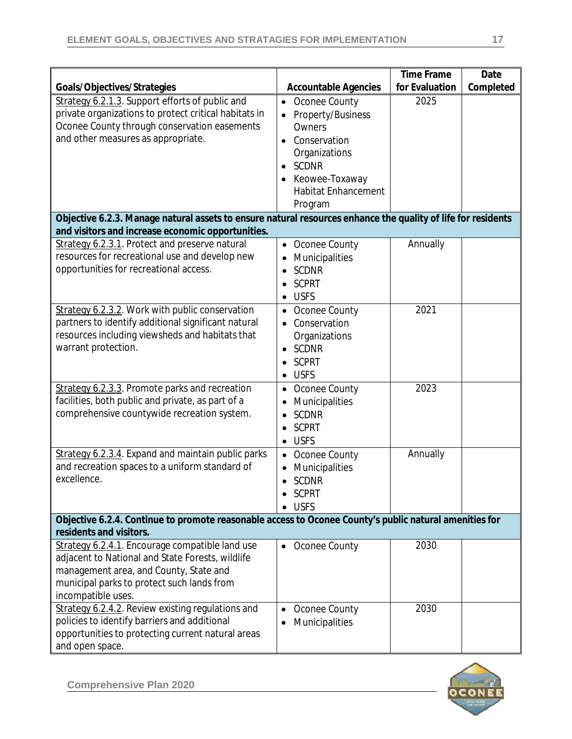| Goals/Objectives/Strategies                                                                                                                                                                                       | <b>Accountable Agencies</b>                                                                                                                                                        | <b>Time Frame</b><br>for Evaluation | Date<br>Completed |
|-------------------------------------------------------------------------------------------------------------------------------------------------------------------------------------------------------------------|------------------------------------------------------------------------------------------------------------------------------------------------------------------------------------|-------------------------------------|-------------------|
| Strategy 6.2.1.3. Support efforts of public and<br>private organizations to protect critical habitats in<br>Oconee County through conservation easements<br>and other measures as appropriate.                    | Oconee County<br>$\bullet$<br>Property/Business<br>Owners<br>Conservation<br>Organizations<br><b>SCDNR</b><br>$\bullet$<br>Keowee-Toxaway<br><b>Habitat Enhancement</b><br>Program | 2025                                |                   |
| Objective 6.2.3. Manage natural assets to ensure natural resources enhance the quality of life for residents<br>and visitors and increase economic opportunities.                                                 |                                                                                                                                                                                    |                                     |                   |
| Strategy 6.2.3.1. Protect and preserve natural<br>resources for recreational use and develop new<br>opportunities for recreational access.                                                                        | Oconee County<br>$\bullet$<br>Municipalities<br><b>SCDNR</b><br><b>SCPRT</b><br><b>USFS</b><br>٠                                                                                   | Annually                            |                   |
| Strategy 6.2.3.2. Work with public conservation<br>partners to identify additional significant natural<br>resources including viewsheds and habitats that<br>warrant protection.                                  | Oconee County<br>$\bullet$<br>Conservation<br>Organizations<br>$\bullet$ SCDNR<br><b>SCPRT</b><br><b>USFS</b><br>٠                                                                 | 2021                                |                   |
| Strategy 6.2.3.3. Promote parks and recreation<br>facilities, both public and private, as part of a<br>comprehensive countywide recreation system.                                                                | Oconee County<br>Municipalities<br><b>SCDNR</b><br><b>SCPRT</b><br><b>USFS</b>                                                                                                     | 2023                                |                   |
| Strategy 6.2.3.4. Expand and maintain public parks<br>and recreation spaces to a uniform standard of<br>excellence.                                                                                               | Oconee County<br>Municipalities<br>SCDNR<br>$\bullet$<br>• SCPRT<br>$\bullet$ USFS                                                                                                 | Annually                            |                   |
| Objective 6.2.4. Continue to promote reasonable access to Oconee County's public natural amenities for<br>residents and visitors.                                                                                 |                                                                                                                                                                                    |                                     |                   |
| Strategy 6.2.4.1. Encourage compatible land use<br>adjacent to National and State Forests, wildlife<br>management area, and County, State and<br>municipal parks to protect such lands from<br>incompatible uses. | • Oconee County                                                                                                                                                                    | 2030                                |                   |
| Strategy 6.2.4.2. Review existing regulations and<br>policies to identify barriers and additional<br>opportunities to protecting current natural areas<br>and open space.                                         | Oconee County<br>Municipalities                                                                                                                                                    | 2030                                |                   |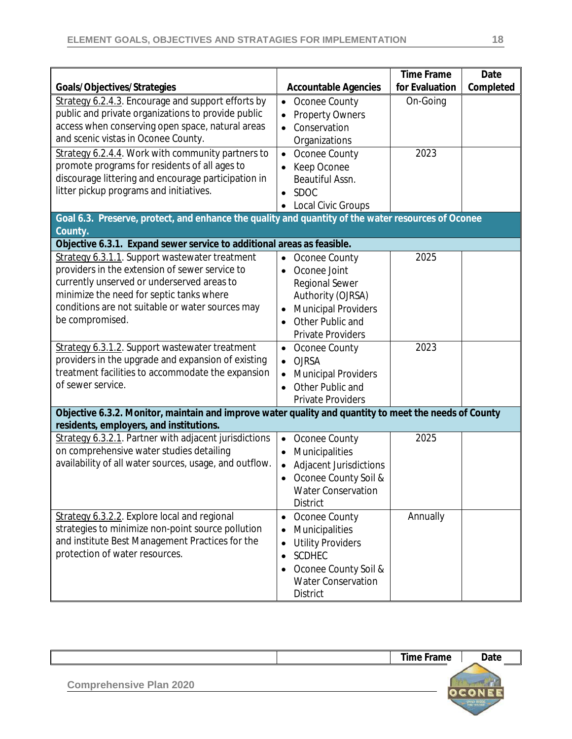|                                                                                                       |                                         | <b>Time Frame</b><br>for Evaluation | Date<br>Completed |
|-------------------------------------------------------------------------------------------------------|-----------------------------------------|-------------------------------------|-------------------|
| Goals/Objectives/Strategies                                                                           | <b>Accountable Agencies</b>             |                                     |                   |
| Strategy 6.2.4.3. Encourage and support efforts by                                                    | Oconee County<br>$\bullet$              | On-Going                            |                   |
| public and private organizations to provide public                                                    | <b>Property Owners</b>                  |                                     |                   |
| access when conserving open space, natural areas                                                      | Conservation                            |                                     |                   |
| and scenic vistas in Oconee County.                                                                   | Organizations                           |                                     |                   |
| Strategy 6.2.4.4. Work with community partners to                                                     | Oconee County<br>$\bullet$              | 2023                                |                   |
| promote programs for residents of all ages to                                                         | Keep Oconee                             |                                     |                   |
| discourage littering and encourage participation in                                                   | Beautiful Assn.                         |                                     |                   |
| litter pickup programs and initiatives.                                                               | SDOC<br>$\bullet$                       |                                     |                   |
|                                                                                                       | Local Civic Groups                      |                                     |                   |
| Goal 6.3. Preserve, protect, and enhance the quality and quantity of the water resources of Oconee    |                                         |                                     |                   |
| County.                                                                                               |                                         |                                     |                   |
| Objective 6.3.1. Expand sewer service to additional areas as feasible.                                |                                         |                                     |                   |
| Strategy 6.3.1.1. Support wastewater treatment                                                        | Oconee County<br>$\bullet$              | 2025                                |                   |
| providers in the extension of sewer service to                                                        | Oconee Joint<br>$\bullet$               |                                     |                   |
| currently unserved or underserved areas to                                                            | <b>Regional Sewer</b>                   |                                     |                   |
| minimize the need for septic tanks where                                                              | Authority (OJRSA)                       |                                     |                   |
| conditions are not suitable or water sources may                                                      | <b>Municipal Providers</b><br>$\bullet$ |                                     |                   |
| be compromised.                                                                                       | Other Public and<br>$\bullet$           |                                     |                   |
|                                                                                                       | <b>Private Providers</b>                |                                     |                   |
| Strategy 6.3.1.2. Support wastewater treatment                                                        | Oconee County<br>$\bullet$              | 2023                                |                   |
| providers in the upgrade and expansion of existing                                                    | <b>OJRSA</b><br>$\bullet$               |                                     |                   |
| treatment facilities to accommodate the expansion                                                     | <b>Municipal Providers</b>              |                                     |                   |
| of sewer service.                                                                                     | Other Public and<br>$\bullet$           |                                     |                   |
|                                                                                                       | <b>Private Providers</b>                |                                     |                   |
| Objective 6.3.2. Monitor, maintain and improve water quality and quantity to meet the needs of County |                                         |                                     |                   |
| residents, employers, and institutions.                                                               |                                         |                                     |                   |
| Strategy 6.3.2.1. Partner with adjacent jurisdictions                                                 | Oconee County<br>$\bullet$              | 2025                                |                   |
| on comprehensive water studies detailing                                                              | Municipalities                          |                                     |                   |
| availability of all water sources, usage, and outflow.                                                | Adjacent Jurisdictions                  |                                     |                   |
|                                                                                                       | Oconee County Soil &<br>$\bullet$       |                                     |                   |
|                                                                                                       | <b>Water Conservation</b>               |                                     |                   |
|                                                                                                       | <b>District</b>                         |                                     |                   |
| Strategy 6.3.2.2. Explore local and regional                                                          | Oconee County<br>$\bullet$              | Annually                            |                   |
| strategies to minimize non-point source pollution                                                     | Municipalities                          |                                     |                   |
| and institute Best Management Practices for the                                                       | <b>Utility Providers</b>                |                                     |                   |
| protection of water resources.                                                                        | <b>SCDHEC</b><br>$\bullet$              |                                     |                   |
|                                                                                                       | Oconee County Soil &                    |                                     |                   |
|                                                                                                       | <b>Water Conservation</b>               |                                     |                   |
|                                                                                                       |                                         |                                     |                   |
|                                                                                                       | <b>District</b>                         |                                     |                   |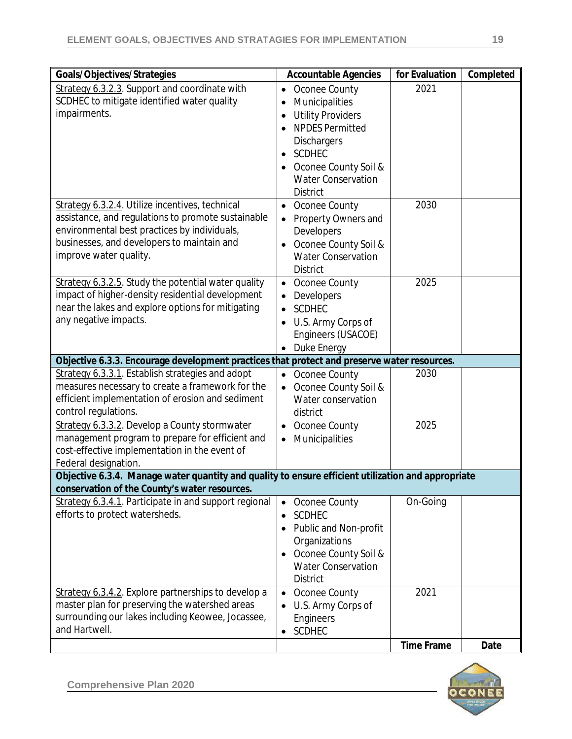| Goals/Objectives/Strategies                                                                                                                                                                                                   | <b>Accountable Agencies</b>                                                                                                                                                                                 | for Evaluation    | Completed |
|-------------------------------------------------------------------------------------------------------------------------------------------------------------------------------------------------------------------------------|-------------------------------------------------------------------------------------------------------------------------------------------------------------------------------------------------------------|-------------------|-----------|
| Strategy 6.3.2.3. Support and coordinate with<br>SCDHEC to mitigate identified water quality<br>impairments.                                                                                                                  | Oconee County<br>$\bullet$<br>Municipalities<br>$\bullet$<br><b>Utility Providers</b><br><b>NPDES Permitted</b><br><b>Dischargers</b><br><b>SCDHEC</b><br>Oconee County Soil &<br><b>Water Conservation</b> | 2021              |           |
| Strategy 6.3.2.4. Utilize incentives, technical<br>assistance, and regulations to promote sustainable<br>environmental best practices by individuals,<br>businesses, and developers to maintain and<br>improve water quality. | <b>District</b><br>Oconee County<br>$\bullet$<br>Property Owners and<br>$\bullet$<br>Developers<br>Oconee County Soil &<br><b>Water Conservation</b><br><b>District</b>                                     | 2030              |           |
| Strategy 6.3.2.5. Study the potential water quality<br>impact of higher-density residential development<br>near the lakes and explore options for mitigating<br>any negative impacts.                                         | Oconee County<br>$\bullet$<br>Developers<br><b>SCDHEC</b><br>$\bullet$<br>U.S. Army Corps of<br>Engineers (USACOE)<br>Duke Energy<br>$\bullet$                                                              | 2025              |           |
| Objective 6.3.3. Encourage development practices that protect and preserve water resources.                                                                                                                                   |                                                                                                                                                                                                             |                   |           |
| Strategy 6.3.3.1. Establish strategies and adopt<br>measures necessary to create a framework for the<br>efficient implementation of erosion and sediment<br>control regulations.                                              | Oconee County<br>$\bullet$<br>Oconee County Soil &<br>$\bullet$<br>Water conservation<br>district                                                                                                           | 2030              |           |
| Strategy 6.3.3.2. Develop a County stormwater<br>management program to prepare for efficient and<br>cost-effective implementation in the event of<br>Federal designation.                                                     | Oconee County<br>$\bullet$<br>Municipalities<br>$\bullet$                                                                                                                                                   | 2025              |           |
| Objective 6.3.4. Manage water quantity and quality to ensure efficient utilization and appropriate<br>conservation of the County's water resources.                                                                           |                                                                                                                                                                                                             |                   |           |
| Strategy 6.3.4.1. Participate in and support regional<br>efforts to protect watersheds.                                                                                                                                       | Oconee County<br><b>SCDHEC</b><br>Public and Non-profit<br>$\bullet$<br>Organizations<br>Oconee County Soil &<br><b>Water Conservation</b><br><b>District</b>                                               | On-Going          |           |
| Strategy 6.3.4.2. Explore partnerships to develop a<br>master plan for preserving the watershed areas<br>surrounding our lakes including Keowee, Jocassee,<br>and Hartwell.                                                   | Oconee County<br>$\bullet$<br>U.S. Army Corps of<br>$\bullet$<br>Engineers<br><b>SCDHEC</b>                                                                                                                 | 2021              |           |
|                                                                                                                                                                                                                               |                                                                                                                                                                                                             | <b>Time Frame</b> | Date      |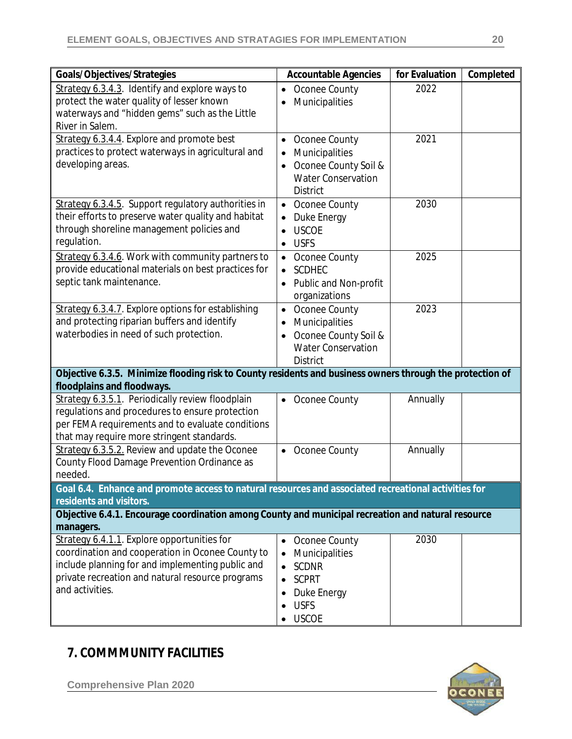| Goals/Objectives/Strategies                                                                                                                                                                                                | <b>Accountable Agencies</b>                                                                                          | for Evaluation | Completed |
|----------------------------------------------------------------------------------------------------------------------------------------------------------------------------------------------------------------------------|----------------------------------------------------------------------------------------------------------------------|----------------|-----------|
| Strategy 6.3.4.3. Identify and explore ways to<br>protect the water quality of lesser known<br>waterways and "hidden gems" such as the Little<br>River in Salem.                                                           | Oconee County<br>$\bullet$<br>Municipalities                                                                         | 2022           |           |
| Strategy 6.3.4.4. Explore and promote best<br>practices to protect waterways in agricultural and<br>developing areas.                                                                                                      | Oconee County<br>$\bullet$<br>Municipalities<br>Oconee County Soil &<br><b>Water Conservation</b><br><b>District</b> | 2021           |           |
| Strategy 6.3.4.5. Support regulatory authorities in<br>their efforts to preserve water quality and habitat<br>through shoreline management policies and<br>regulation.                                                     | • Oconee County<br>Duke Energy<br><b>USCOE</b><br><b>USFS</b>                                                        | 2030           |           |
| Strategy 6.3.4.6. Work with community partners to<br>provide educational materials on best practices for<br>septic tank maintenance.                                                                                       | Oconee County<br>$\bullet$<br><b>SCDHEC</b><br>Public and Non-profit<br>organizations                                | 2025           |           |
| Strategy 6.3.4.7. Explore options for establishing<br>and protecting riparian buffers and identify<br>waterbodies in need of such protection.                                                                              | Oconee County<br>$\bullet$<br>Municipalities<br>Oconee County Soil &<br><b>Water Conservation</b><br><b>District</b> | 2023           |           |
| Objective 6.3.5. Minimize flooding risk to County residents and business owners through the protection of<br>floodplains and floodways.                                                                                    |                                                                                                                      |                |           |
| Strategy 6.3.5.1. Periodically review floodplain<br>regulations and procedures to ensure protection<br>per FEMA requirements and to evaluate conditions<br>that may require more stringent standards.                      | Oconee County<br>$\bullet$                                                                                           | Annually       |           |
| Strategy 6.3.5.2. Review and update the Oconee<br>County Flood Damage Prevention Ordinance as<br>needed.                                                                                                                   | • Oconee County                                                                                                      | Annually       |           |
| Goal 6.4. Enhance and promote access to natural resources and associated recreational activities for<br>residents and visitors.                                                                                            |                                                                                                                      |                |           |
| Objective 6.4.1. Encourage coordination among County and municipal recreation and natural resource<br>managers.                                                                                                            |                                                                                                                      |                |           |
| Strategy 6.4.1.1. Explore opportunities for<br>coordination and cooperation in Oconee County to<br>include planning for and implementing public and<br>private recreation and natural resource programs<br>and activities. | • Oconee County<br>Municipalities<br><b>SCDNR</b><br><b>SCPRT</b><br>Duke Energy<br><b>USFS</b><br><b>USCOE</b>      | 2030           |           |

### **7. COMMMUNITY FACILITIES**

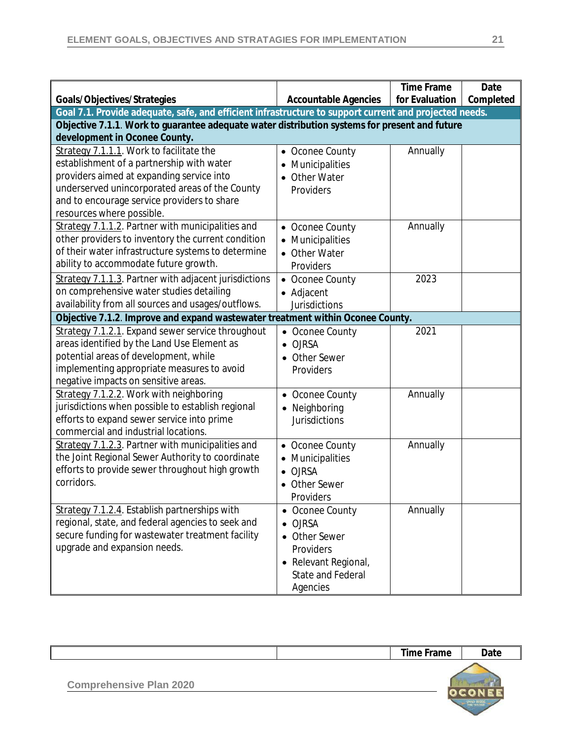|                                                                                                        |                             | <b>Time Frame</b> | Date      |
|--------------------------------------------------------------------------------------------------------|-----------------------------|-------------------|-----------|
| Goals/Objectives/Strategies                                                                            | <b>Accountable Agencies</b> | for Evaluation    | Completed |
| Goal 7.1. Provide adequate, safe, and efficient infrastructure to support current and projected needs. |                             |                   |           |
| Objective 7.1.1. Work to guarantee adequate water distribution systems for present and future          |                             |                   |           |
| development in Oconee County.                                                                          |                             |                   |           |
| Strategy 7.1.1.1. Work to facilitate the                                                               | • Oconee County             | Annually          |           |
| establishment of a partnership with water                                                              | Municipalities              |                   |           |
| providers aimed at expanding service into                                                              | • Other Water               |                   |           |
| underserved unincorporated areas of the County                                                         | Providers                   |                   |           |
| and to encourage service providers to share                                                            |                             |                   |           |
| resources where possible.                                                                              |                             |                   |           |
| Strategy 7.1.1.2. Partner with municipalities and                                                      | • Oconee County             | Annually          |           |
| other providers to inventory the current condition                                                     | • Municipalities            |                   |           |
| of their water infrastructure systems to determine                                                     | • Other Water               |                   |           |
| ability to accommodate future growth.                                                                  | Providers                   |                   |           |
| Strategy 7.1.1.3. Partner with adjacent jurisdictions                                                  | • Oconee County             | 2023              |           |
| on comprehensive water studies detailing                                                               | • Adjacent                  |                   |           |
| availability from all sources and usages/outflows.                                                     | <b>Jurisdictions</b>        |                   |           |
| Objective 7.1.2. Improve and expand wastewater treatment within Oconee County.                         |                             |                   |           |
| Strategy 7.1.2.1. Expand sewer service throughout                                                      | • Oconee County             | 2021              |           |
| areas identified by the Land Use Element as                                                            | <b>OJRSA</b><br>$\bullet$   |                   |           |
| potential areas of development, while                                                                  | <b>Other Sewer</b>          |                   |           |
| implementing appropriate measures to avoid                                                             | Providers                   |                   |           |
| negative impacts on sensitive areas.                                                                   |                             |                   |           |
| Strategy 7.1.2.2. Work with neighboring                                                                | • Oconee County             | Annually          |           |
| jurisdictions when possible to establish regional                                                      | • Neighboring               |                   |           |
| efforts to expand sewer service into prime                                                             | <b>Jurisdictions</b>        |                   |           |
| commercial and industrial locations.                                                                   |                             |                   |           |
| Strategy 7.1.2.3. Partner with municipalities and                                                      | • Oconee County             | Annually          |           |
| the Joint Regional Sewer Authority to coordinate                                                       | Municipalities              |                   |           |
| efforts to provide sewer throughout high growth                                                        | <b>OJRSA</b>                |                   |           |
| corridors.                                                                                             | Other Sewer                 |                   |           |
|                                                                                                        | Providers                   |                   |           |
| Strategy 7.1.2.4. Establish partnerships with                                                          | Oconee County               | Annually          |           |
| regional, state, and federal agencies to seek and                                                      | <b>OJRSA</b>                |                   |           |
| secure funding for wastewater treatment facility                                                       | • Other Sewer               |                   |           |
| upgrade and expansion needs.                                                                           | Providers                   |                   |           |
|                                                                                                        | • Relevant Regional,        |                   |           |
|                                                                                                        | <b>State and Federal</b>    |                   |           |
|                                                                                                        | Agencies                    |                   |           |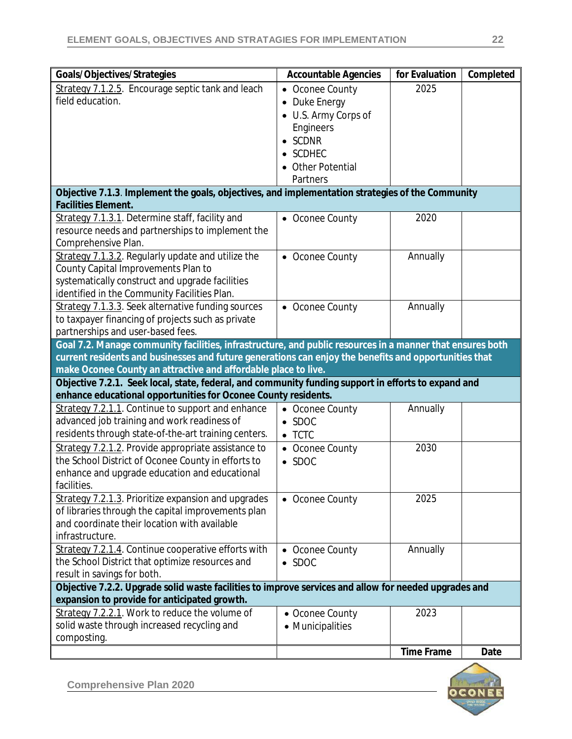| Goals/Objectives/Strategies                                                                                                                           | <b>Accountable Agencies</b> | for Evaluation    | Completed |
|-------------------------------------------------------------------------------------------------------------------------------------------------------|-----------------------------|-------------------|-----------|
| Strategy 7.1.2.5. Encourage septic tank and leach                                                                                                     | • Oconee County             | 2025              |           |
| field education.                                                                                                                                      | • Duke Energy               |                   |           |
|                                                                                                                                                       | • U.S. Army Corps of        |                   |           |
|                                                                                                                                                       | Engineers                   |                   |           |
|                                                                                                                                                       | $\bullet$ SCDNR             |                   |           |
|                                                                                                                                                       | • SCDHEC                    |                   |           |
|                                                                                                                                                       | • Other Potential           |                   |           |
|                                                                                                                                                       | Partners                    |                   |           |
| Objective 7.1.3. Implement the goals, objectives, and implementation strategies of the Community                                                      |                             |                   |           |
| <b>Facilities Element.</b>                                                                                                                            |                             |                   |           |
| Strategy 7.1.3.1. Determine staff, facility and                                                                                                       | • Oconee County             | 2020              |           |
| resource needs and partnerships to implement the                                                                                                      |                             |                   |           |
| Comprehensive Plan.                                                                                                                                   |                             |                   |           |
| Strategy 7.1.3.2. Regularly update and utilize the                                                                                                    | • Oconee County             | Annually          |           |
| County Capital Improvements Plan to                                                                                                                   |                             |                   |           |
| systematically construct and upgrade facilities                                                                                                       |                             |                   |           |
| identified in the Community Facilities Plan.                                                                                                          |                             |                   |           |
| Strategy 7.1.3.3. Seek alternative funding sources                                                                                                    | • Oconee County             | Annually          |           |
| to taxpayer financing of projects such as private                                                                                                     |                             |                   |           |
| partnerships and user-based fees.                                                                                                                     |                             |                   |           |
| Goal 7.2. Manage community facilities, infrastructure, and public resources in a manner that ensures both                                             |                             |                   |           |
| current residents and businesses and future generations can enjoy the benefits and opportunities that                                                 |                             |                   |           |
| make Oconee County an attractive and affordable place to live.                                                                                        |                             |                   |           |
| Objective 7.2.1. Seek local, state, federal, and community funding support in efforts to expand and                                                   |                             |                   |           |
| enhance educational opportunities for Oconee County residents.                                                                                        |                             |                   |           |
| Strategy 7.2.1.1. Continue to support and enhance                                                                                                     | • Oconee County             | Annually          |           |
| advanced job training and work readiness of                                                                                                           | $\bullet$ SDOC              |                   |           |
| residents through state-of-the-art training centers.                                                                                                  | $\bullet$ TCTC              |                   |           |
| Strategy 7.2.1.2. Provide appropriate assistance to                                                                                                   | • Oconee County             | 2030              |           |
| the School District of Oconee County in efforts to                                                                                                    | $\bullet$ SDOC              |                   |           |
| enhance and upgrade education and educational                                                                                                         |                             |                   |           |
| facilities.                                                                                                                                           |                             |                   |           |
| Strategy 7.2.1.3. Prioritize expansion and upgrades                                                                                                   | • Oconee County             | 2025              |           |
| of libraries through the capital improvements plan                                                                                                    |                             |                   |           |
| and coordinate their location with available                                                                                                          |                             |                   |           |
| infrastructure.                                                                                                                                       |                             |                   |           |
| Strategy 7.2.1.4. Continue cooperative efforts with                                                                                                   | • Oconee County             | Annually          |           |
| the School District that optimize resources and                                                                                                       | $\bullet$ SDOC              |                   |           |
| result in savings for both.                                                                                                                           |                             |                   |           |
| Objective 7.2.2. Upgrade solid waste facilities to improve services and allow for needed upgrades and<br>expansion to provide for anticipated growth. |                             |                   |           |
| Strategy 7.2.2.1. Work to reduce the volume of                                                                                                        | • Oconee County             | 2023              |           |
| solid waste through increased recycling and                                                                                                           | • Municipalities            |                   |           |
| composting.                                                                                                                                           |                             |                   |           |
|                                                                                                                                                       |                             | <b>Time Frame</b> | Date      |
|                                                                                                                                                       |                             |                   |           |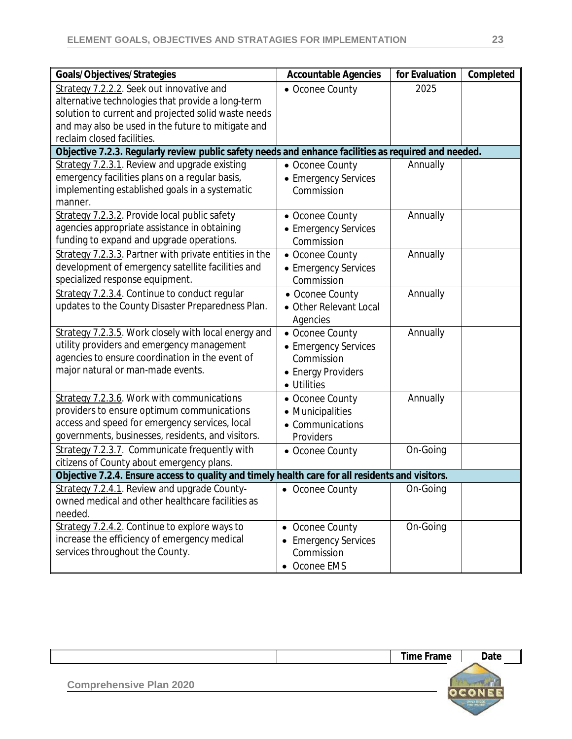| Goals/Objectives/Strategies                                                                          | <b>Accountable Agencies</b> | for Evaluation | Completed |
|------------------------------------------------------------------------------------------------------|-----------------------------|----------------|-----------|
| Strategy 7.2.2.2. Seek out innovative and                                                            | • Oconee County             | 2025           |           |
| alternative technologies that provide a long-term                                                    |                             |                |           |
| solution to current and projected solid waste needs                                                  |                             |                |           |
| and may also be used in the future to mitigate and                                                   |                             |                |           |
| reclaim closed facilities.                                                                           |                             |                |           |
| Objective 7.2.3. Regularly review public safety needs and enhance facilities as required and needed. |                             |                |           |
| Strategy 7.2.3.1. Review and upgrade existing                                                        | • Oconee County             | Annually       |           |
| emergency facilities plans on a regular basis,                                                       | • Emergency Services        |                |           |
| implementing established goals in a systematic                                                       | Commission                  |                |           |
| manner.                                                                                              |                             |                |           |
| Strategy 7.2.3.2. Provide local public safety                                                        | • Oconee County             | Annually       |           |
| agencies appropriate assistance in obtaining                                                         | • Emergency Services        |                |           |
| funding to expand and upgrade operations.                                                            | Commission                  |                |           |
| Strategy 7.2.3.3. Partner with private entities in the                                               | • Oconee County             | Annually       |           |
| development of emergency satellite facilities and                                                    | • Emergency Services        |                |           |
| specialized response equipment.                                                                      | Commission                  |                |           |
| Strategy 7.2.3.4. Continue to conduct regular                                                        | • Oconee County             | Annually       |           |
| updates to the County Disaster Preparedness Plan.                                                    | • Other Relevant Local      |                |           |
|                                                                                                      | Agencies                    |                |           |
| Strategy 7.2.3.5. Work closely with local energy and                                                 | • Oconee County             | Annually       |           |
| utility providers and emergency management                                                           | • Emergency Services        |                |           |
| agencies to ensure coordination in the event of                                                      | Commission                  |                |           |
| major natural or man-made events.                                                                    | • Energy Providers          |                |           |
|                                                                                                      | • Utilities                 |                |           |
| Strategy 7.2.3.6. Work with communications                                                           | • Oconee County             | Annually       |           |
| providers to ensure optimum communications                                                           | • Municipalities            |                |           |
| access and speed for emergency services, local                                                       | • Communications            |                |           |
| governments, businesses, residents, and visitors.                                                    | Providers                   |                |           |
| Strategy 7.2.3.7. Communicate frequently with                                                        | • Oconee County             | On-Going       |           |
| citizens of County about emergency plans.                                                            |                             |                |           |
| Objective 7.2.4. Ensure access to quality and timely health care for all residents and visitors.     |                             |                |           |
| Strategy 7.2.4.1. Review and upgrade County-                                                         | • Oconee County             | On-Going       |           |
| owned medical and other healthcare facilities as                                                     |                             |                |           |
| needed.                                                                                              |                             |                |           |
| Strategy 7.2.4.2. Continue to explore ways to                                                        | • Oconee County             | On-Going       |           |
| increase the efficiency of emergency medical                                                         | <b>Emergency Services</b>   |                |           |
| services throughout the County.                                                                      | Commission                  |                |           |
|                                                                                                      | Oconee EMS                  |                |           |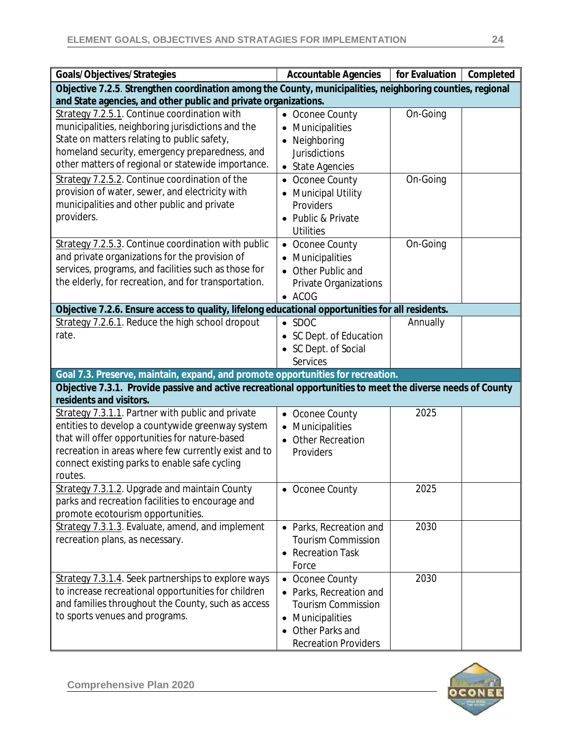| Goals/Objectives/Strategies                                                                                                           | <b>Accountable Agencies</b> | for Evaluation | Completed |
|---------------------------------------------------------------------------------------------------------------------------------------|-----------------------------|----------------|-----------|
| Objective 7.2.5. Strengthen coordination among the County, municipalities, neighboring counties, regional                             |                             |                |           |
| and State agencies, and other public and private organizations.                                                                       |                             |                |           |
| Strategy 7.2.5.1. Continue coordination with                                                                                          | • Oconee County             | On-Going       |           |
| municipalities, neighboring jurisdictions and the                                                                                     | Municipalities              |                |           |
| State on matters relating to public safety,                                                                                           | Neighboring                 |                |           |
| homeland security, emergency preparedness, and                                                                                        | <b>Jurisdictions</b>        |                |           |
| other matters of regional or statewide importance.                                                                                    | • State Agencies            |                |           |
| Strategy 7.2.5.2. Continue coordination of the                                                                                        | Oconee County               | On-Going       |           |
| provision of water, sewer, and electricity with                                                                                       | <b>Municipal Utility</b>    |                |           |
| municipalities and other public and private                                                                                           | Providers                   |                |           |
| providers.                                                                                                                            | • Public & Private          |                |           |
|                                                                                                                                       | <b>Utilities</b>            |                |           |
| Strategy 7.2.5.3. Continue coordination with public                                                                                   | Oconee County               | On-Going       |           |
| and private organizations for the provision of                                                                                        | Municipalities              |                |           |
| services, programs, and facilities such as those for                                                                                  | Other Public and            |                |           |
| the elderly, for recreation, and for transportation.                                                                                  | Private Organizations       |                |           |
|                                                                                                                                       | $\bullet$ ACOG              |                |           |
| Objective 7.2.6. Ensure access to quality, lifelong educational opportunities for all residents.                                      |                             |                |           |
| Strategy 7.2.6.1. Reduce the high school dropout                                                                                      | $\bullet$ SDOC              | Annually       |           |
| rate.                                                                                                                                 | • SC Dept. of Education     |                |           |
|                                                                                                                                       | SC Dept. of Social          |                |           |
|                                                                                                                                       | <b>Services</b>             |                |           |
| Goal 7.3. Preserve, maintain, expand, and promote opportunities for recreation.                                                       |                             |                |           |
| Objective 7.3.1. Provide passive and active recreational opportunities to meet the diverse needs of County<br>residents and visitors. |                             |                |           |
| Strategy 7.3.1.1. Partner with public and private                                                                                     | Oconee County<br>$\bullet$  | 2025           |           |
| entities to develop a countywide greenway system                                                                                      | Municipalities              |                |           |
| that will offer opportunities for nature-based                                                                                        | <b>Other Recreation</b>     |                |           |
| recreation in areas where few currently exist and to                                                                                  | Providers                   |                |           |
| connect existing parks to enable safe cycling                                                                                         |                             |                |           |
| routes.                                                                                                                               |                             |                |           |
| Strategy 7.3.1.2. Upgrade and maintain County                                                                                         | • Oconee County             | 2025           |           |
| parks and recreation facilities to encourage and                                                                                      |                             |                |           |
| promote ecotourism opportunities.                                                                                                     |                             |                |           |
| Strategy 7.3.1.3. Evaluate, amend, and implement                                                                                      | • Parks, Recreation and     | 2030           |           |
| recreation plans, as necessary.                                                                                                       | <b>Tourism Commission</b>   |                |           |
|                                                                                                                                       | <b>Recreation Task</b>      |                |           |
|                                                                                                                                       | Force                       |                |           |
| Strategy 7.3.1.4. Seek partnerships to explore ways                                                                                   | • Oconee County             | 2030           |           |
| to increase recreational opportunities for children                                                                                   | Parks, Recreation and       |                |           |
| and families throughout the County, such as access                                                                                    | <b>Tourism Commission</b>   |                |           |
| to sports venues and programs.                                                                                                        | Municipalities<br>$\bullet$ |                |           |
|                                                                                                                                       | Other Parks and             |                |           |
|                                                                                                                                       | <b>Recreation Providers</b> |                |           |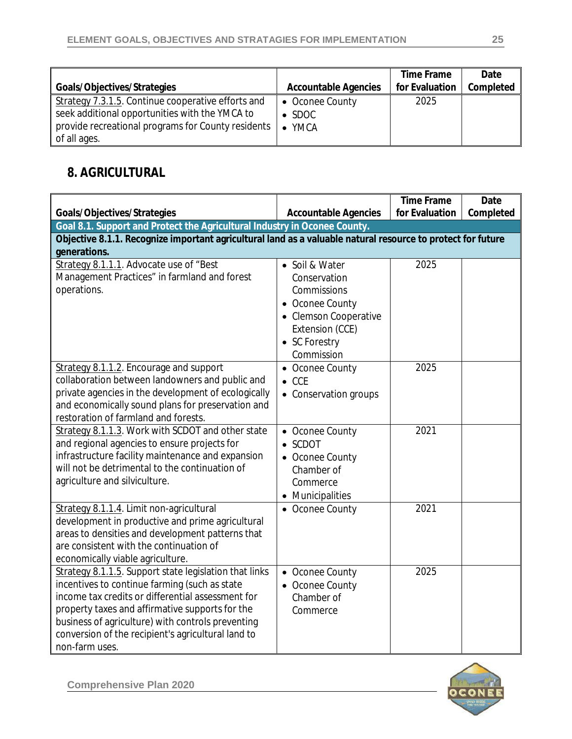|                                                                                                                                                                            |                                                        | Time Frame<br>for Evaluation | Date<br>Completed |
|----------------------------------------------------------------------------------------------------------------------------------------------------------------------------|--------------------------------------------------------|------------------------------|-------------------|
| Goals/Objectives/Strategies                                                                                                                                                | <b>Accountable Agencies</b>                            |                              |                   |
| Strategy 7.3.1.5. Continue cooperative efforts and<br>seek additional opportunities with the YMCA to<br>provide recreational programs for County residents<br>of all ages. | • Oconee County<br>$\bullet$ SDOC<br>YMCA<br>$\bullet$ | 2025                         |                   |

### **8. AGRICULTURAL**

|                                                                                                             |                                    | <b>Time Frame</b> | Date      |
|-------------------------------------------------------------------------------------------------------------|------------------------------------|-------------------|-----------|
| Goals/Objectives/Strategies                                                                                 | <b>Accountable Agencies</b>        | for Evaluation    | Completed |
| Goal 8.1. Support and Protect the Agricultural Industry in Oconee County.                                   |                                    |                   |           |
| Objective 8.1.1. Recognize important agricultural land as a valuable natural resource to protect for future |                                    |                   |           |
| generations.                                                                                                |                                    |                   |           |
| Strategy 8.1.1.1. Advocate use of "Best                                                                     | • Soil & Water                     | 2025              |           |
| Management Practices" in farmland and forest                                                                | Conservation                       |                   |           |
| operations.                                                                                                 | Commissions                        |                   |           |
|                                                                                                             | • Oconee County                    |                   |           |
|                                                                                                             | • Clemson Cooperative              |                   |           |
|                                                                                                             | Extension (CCE)                    |                   |           |
|                                                                                                             | • SC Forestry                      |                   |           |
|                                                                                                             | Commission                         |                   |           |
| Strategy 8.1.1.2. Encourage and support                                                                     | • Oconee County                    | 2025              |           |
| collaboration between landowners and public and                                                             | $\bullet$ CCE                      |                   |           |
| private agencies in the development of ecologically                                                         | • Conservation groups              |                   |           |
| and economically sound plans for preservation and                                                           |                                    |                   |           |
| restoration of farmland and forests.<br>Strategy 8.1.1.3. Work with SCDOT and other state                   |                                    | 2021              |           |
|                                                                                                             | • Oconee County<br>$\bullet$ SCDOT |                   |           |
| and regional agencies to ensure projects for<br>infrastructure facility maintenance and expansion           |                                    |                   |           |
| will not be detrimental to the continuation of                                                              | • Oconee County                    |                   |           |
| agriculture and silviculture.                                                                               | Chamber of                         |                   |           |
|                                                                                                             | Commerce                           |                   |           |
|                                                                                                             | • Municipalities                   |                   |           |
| Strategy 8.1.1.4. Limit non-agricultural                                                                    | • Oconee County                    | 2021              |           |
| development in productive and prime agricultural<br>areas to densities and development patterns that        |                                    |                   |           |
| are consistent with the continuation of                                                                     |                                    |                   |           |
| economically viable agriculture.                                                                            |                                    |                   |           |
| Strategy 8.1.1.5. Support state legislation that links                                                      | • Oconee County                    | 2025              |           |
| incentives to continue farming (such as state                                                               | • Oconee County                    |                   |           |
| income tax credits or differential assessment for                                                           | Chamber of                         |                   |           |
| property taxes and affirmative supports for the                                                             | Commerce                           |                   |           |
| business of agriculture) with controls preventing                                                           |                                    |                   |           |
| conversion of the recipient's agricultural land to                                                          |                                    |                   |           |
| non-farm uses.                                                                                              |                                    |                   |           |

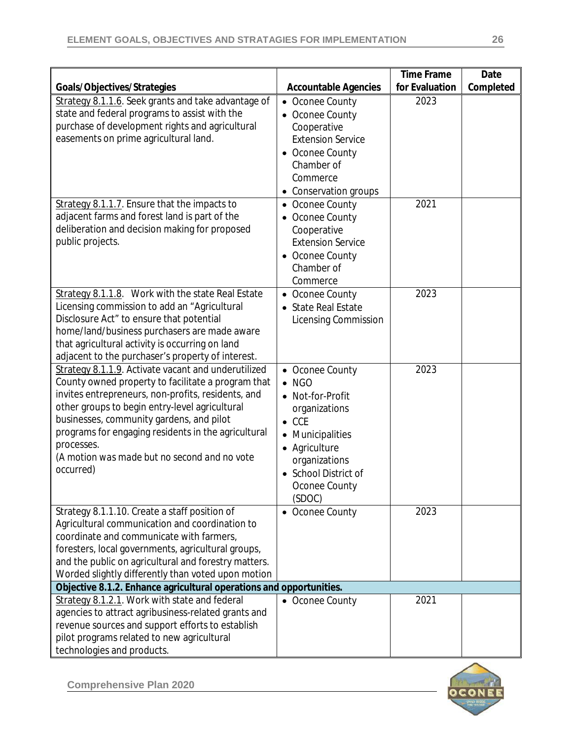|                                                                                                  |                                         | <b>Time Frame</b> | Date      |
|--------------------------------------------------------------------------------------------------|-----------------------------------------|-------------------|-----------|
| Goals/Objectives/Strategies                                                                      | <b>Accountable Agencies</b>             | for Evaluation    | Completed |
| Strategy 8.1.1.6. Seek grants and take advantage of                                              | Oconee County<br>$\bullet$              | 2023              |           |
| state and federal programs to assist with the<br>purchase of development rights and agricultural | • Oconee County                         |                   |           |
| easements on prime agricultural land.                                                            | Cooperative                             |                   |           |
|                                                                                                  | <b>Extension Service</b>                |                   |           |
|                                                                                                  | • Oconee County                         |                   |           |
|                                                                                                  | Chamber of<br>Commerce                  |                   |           |
|                                                                                                  |                                         |                   |           |
|                                                                                                  | • Conservation groups                   | 2021              |           |
| Strategy 8.1.1.7. Ensure that the impacts to<br>adjacent farms and forest land is part of the    | • Oconee County                         |                   |           |
| deliberation and decision making for proposed                                                    | Oconee County                           |                   |           |
| public projects.                                                                                 | Cooperative<br><b>Extension Service</b> |                   |           |
|                                                                                                  |                                         |                   |           |
|                                                                                                  | • Oconee County<br>Chamber of           |                   |           |
|                                                                                                  | Commerce                                |                   |           |
| Strategy 8.1.1.8. Work with the state Real Estate                                                |                                         | 2023              |           |
| Licensing commission to add an "Agricultural                                                     | • Oconee County<br>• State Real Estate  |                   |           |
| Disclosure Act" to ensure that potential                                                         | <b>Licensing Commission</b>             |                   |           |
| home/land/business purchasers are made aware                                                     |                                         |                   |           |
| that agricultural activity is occurring on land                                                  |                                         |                   |           |
| adjacent to the purchaser's property of interest.                                                |                                         |                   |           |
| Strategy 8.1.1.9. Activate vacant and underutilized                                              | • Oconee County                         | 2023              |           |
| County owned property to facilitate a program that                                               | $\bullet$ NGO                           |                   |           |
| invites entrepreneurs, non-profits, residents, and                                               | • Not-for-Profit                        |                   |           |
| other groups to begin entry-level agricultural                                                   | organizations                           |                   |           |
| businesses, community gardens, and pilot                                                         | $\bullet$ CCE                           |                   |           |
| programs for engaging residents in the agricultural                                              | Municipalities                          |                   |           |
| processes.                                                                                       | • Agriculture                           |                   |           |
| (A motion was made but no second and no vote                                                     | organizations                           |                   |           |
| occurred)                                                                                        | • School District of                    |                   |           |
|                                                                                                  | Oconee County                           |                   |           |
|                                                                                                  | (SDOC)                                  |                   |           |
| Strategy 8.1.1.10. Create a staff position of                                                    | • Oconee County                         | 2023              |           |
| Agricultural communication and coordination to                                                   |                                         |                   |           |
| coordinate and communicate with farmers,                                                         |                                         |                   |           |
| foresters, local governments, agricultural groups,                                               |                                         |                   |           |
| and the public on agricultural and forestry matters.                                             |                                         |                   |           |
| Worded slightly differently than voted upon motion                                               |                                         |                   |           |
| Objective 8.1.2. Enhance agricultural operations and opportunities.                              |                                         |                   |           |
| Strategy 8.1.2.1. Work with state and federal                                                    | • Oconee County                         | 2021              |           |
| agencies to attract agribusiness-related grants and                                              |                                         |                   |           |
| revenue sources and support efforts to establish                                                 |                                         |                   |           |
| pilot programs related to new agricultural                                                       |                                         |                   |           |
| technologies and products.                                                                       |                                         |                   |           |

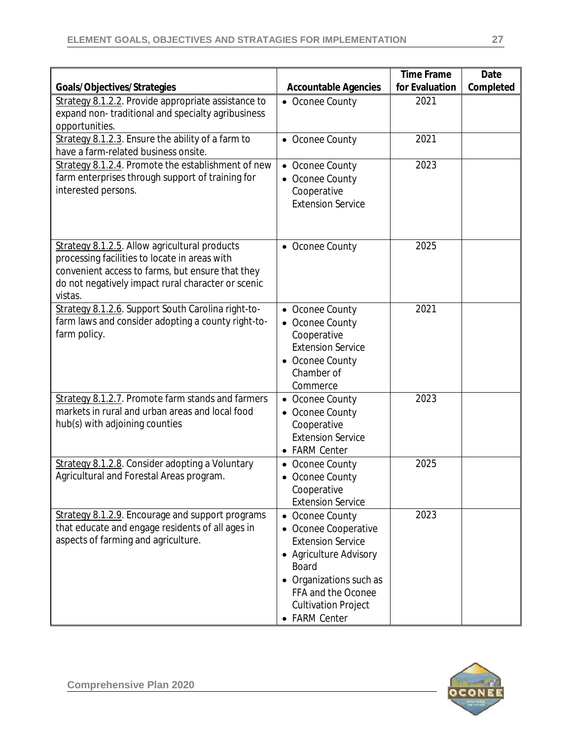| Goals/Objectives/Strategies                                                                                                                                                                                         | <b>Accountable Agencies</b>                                                                                                                                                                            | <b>Time Frame</b><br>for Evaluation | Date<br>Completed |
|---------------------------------------------------------------------------------------------------------------------------------------------------------------------------------------------------------------------|--------------------------------------------------------------------------------------------------------------------------------------------------------------------------------------------------------|-------------------------------------|-------------------|
| Strategy 8.1.2.2. Provide appropriate assistance to<br>expand non-traditional and specialty agribusiness<br>opportunities.                                                                                          | • Oconee County                                                                                                                                                                                        | 2021                                |                   |
| Strategy 8.1.2.3. Ensure the ability of a farm to<br>have a farm-related business onsite.                                                                                                                           | • Oconee County                                                                                                                                                                                        | 2021                                |                   |
| Strategy 8.1.2.4. Promote the establishment of new<br>farm enterprises through support of training for<br>interested persons.                                                                                       | • Oconee County<br>• Oconee County<br>Cooperative<br><b>Extension Service</b>                                                                                                                          | 2023                                |                   |
| Strategy 8.1.2.5. Allow agricultural products<br>processing facilities to locate in areas with<br>convenient access to farms, but ensure that they<br>do not negatively impact rural character or scenic<br>vistas. | • Oconee County                                                                                                                                                                                        | 2025                                |                   |
| Strategy 8.1.2.6. Support South Carolina right-to-<br>farm laws and consider adopting a county right-to-<br>farm policy.                                                                                            | • Oconee County<br>• Oconee County<br>Cooperative<br><b>Extension Service</b><br>• Oconee County<br>Chamber of<br>Commerce                                                                             | 2021                                |                   |
| Strategy 8.1.2.7. Promote farm stands and farmers<br>markets in rural and urban areas and local food<br>hub(s) with adjoining counties                                                                              | • Oconee County<br>• Oconee County<br>Cooperative<br><b>Extension Service</b><br>• FARM Center                                                                                                         | 2023                                |                   |
| Strategy 8.1.2.8. Consider adopting a Voluntary<br>Agricultural and Forestal Areas program.                                                                                                                         | • Oconee County<br>• Oconee County<br>Cooperative<br><b>Extension Service</b>                                                                                                                          | 2025                                |                   |
| Strategy 8.1.2.9. Encourage and support programs<br>that educate and engage residents of all ages in<br>aspects of farming and agriculture.                                                                         | • Oconee County<br>• Oconee Cooperative<br><b>Extension Service</b><br>• Agriculture Advisory<br>Board<br>• Organizations such as<br>FFA and the Oconee<br><b>Cultivation Project</b><br>• FARM Center | 2023                                |                   |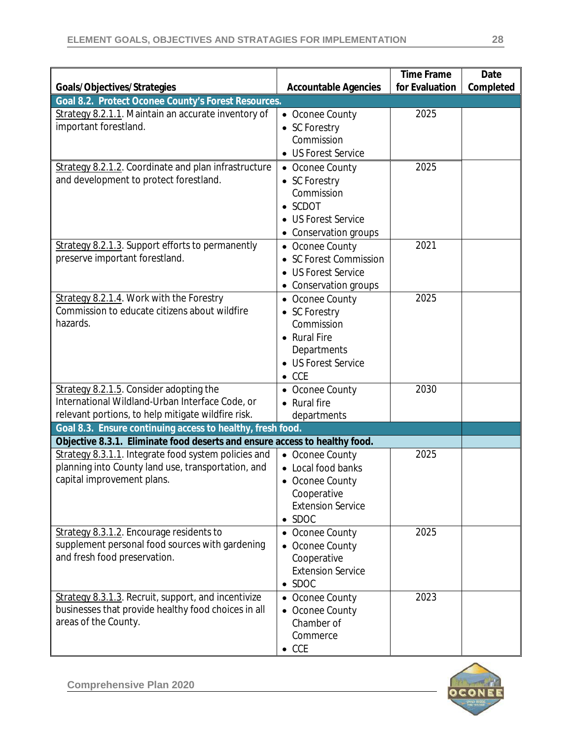|                                                                                                |                                           | <b>Time Frame</b> | Date      |
|------------------------------------------------------------------------------------------------|-------------------------------------------|-------------------|-----------|
| Goals/Objectives/Strategies                                                                    | <b>Accountable Agencies</b>               | for Evaluation    | Completed |
| Goal 8.2. Protect Oconee County's Forest Resources.                                            |                                           | 2025              |           |
| Strategy 8.2.1.1. Maintain an accurate inventory of<br>important forestland.                   | • Oconee County                           |                   |           |
|                                                                                                | • SC Forestry<br>Commission               |                   |           |
|                                                                                                | • US Forest Service                       |                   |           |
|                                                                                                |                                           |                   |           |
| Strategy 8.2.1.2. Coordinate and plan infrastructure<br>and development to protect forestland. | • Oconee County                           | 2025              |           |
|                                                                                                | • SC Forestry<br>Commission               |                   |           |
|                                                                                                | $\bullet$ SCDOT                           |                   |           |
|                                                                                                | • US Forest Service                       |                   |           |
|                                                                                                |                                           |                   |           |
| Strategy 8.2.1.3. Support efforts to permanently                                               | • Conservation groups                     | 2021              |           |
| preserve important forestland.                                                                 | • Oconee County<br>• SC Forest Commission |                   |           |
|                                                                                                | • US Forest Service                       |                   |           |
|                                                                                                |                                           |                   |           |
| Strategy 8.2.1.4. Work with the Forestry                                                       | Conservation groups                       | 2025              |           |
| Commission to educate citizens about wildfire                                                  | • Oconee County<br>• SC Forestry          |                   |           |
| hazards.                                                                                       | Commission                                |                   |           |
|                                                                                                | • Rural Fire                              |                   |           |
|                                                                                                | Departments                               |                   |           |
|                                                                                                | • US Forest Service                       |                   |           |
|                                                                                                | $\bullet$ CCE                             |                   |           |
| Strategy 8.2.1.5. Consider adopting the                                                        | • Oconee County                           | 2030              |           |
| International Wildland-Urban Interface Code, or                                                | <b>Rural</b> fire                         |                   |           |
| relevant portions, to help mitigate wildfire risk.                                             | departments                               |                   |           |
| Goal 8.3. Ensure continuing access to healthy, fresh food.                                     |                                           |                   |           |
| Objective 8.3.1. Eliminate food deserts and ensure access to healthy food.                     |                                           |                   |           |
| Strategy 8.3.1.1. Integrate food system policies and                                           | • Oconee County                           | 2025              |           |
| planning into County land use, transportation, and                                             | • Local food banks                        |                   |           |
| capital improvement plans.                                                                     | • Oconee County                           |                   |           |
|                                                                                                | Cooperative                               |                   |           |
|                                                                                                | <b>Extension Service</b>                  |                   |           |
|                                                                                                | $\bullet$ SDOC                            |                   |           |
| Strategy 8.3.1.2. Encourage residents to                                                       | • Oconee County                           | 2025              |           |
| supplement personal food sources with gardening                                                | Oconee County                             |                   |           |
| and fresh food preservation.                                                                   | Cooperative                               |                   |           |
|                                                                                                | <b>Extension Service</b>                  |                   |           |
|                                                                                                | $\bullet$ SDOC                            |                   |           |
| Strategy 8.3.1.3. Recruit, support, and incentivize                                            | • Oconee County                           | 2023              |           |
| businesses that provide healthy food choices in all                                            | • Oconee County                           |                   |           |
| areas of the County.                                                                           | Chamber of                                |                   |           |
|                                                                                                | Commerce                                  |                   |           |
|                                                                                                | $\bullet$ CCE                             |                   |           |

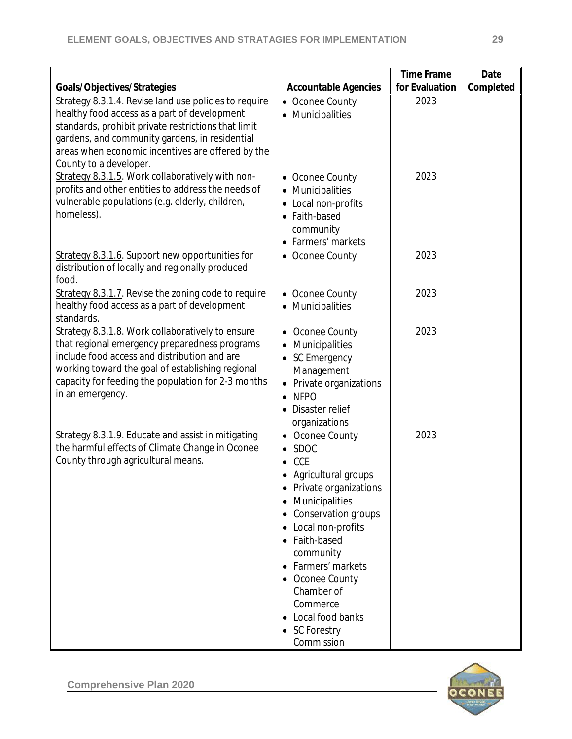| Goals/Objectives/Strategies                                                                                                                                                                                                                                                                   | <b>Accountable Agencies</b>                                                                                                                                                                                                                                                                                     | <b>Time Frame</b><br>for Evaluation | Date<br>Completed |
|-----------------------------------------------------------------------------------------------------------------------------------------------------------------------------------------------------------------------------------------------------------------------------------------------|-----------------------------------------------------------------------------------------------------------------------------------------------------------------------------------------------------------------------------------------------------------------------------------------------------------------|-------------------------------------|-------------------|
| Strategy 8.3.1.4. Revise land use policies to require<br>healthy food access as a part of development<br>standards, prohibit private restrictions that limit<br>gardens, and community gardens, in residential<br>areas when economic incentives are offered by the<br>County to a developer. | Oconee County<br>$\bullet$<br>• Municipalities                                                                                                                                                                                                                                                                  | 2023                                |                   |
| Strategy 8.3.1.5. Work collaboratively with non-<br>profits and other entities to address the needs of<br>vulnerable populations (e.g. elderly, children,<br>homeless).                                                                                                                       | • Oconee County<br>• Municipalities<br>• Local non-profits<br>• Faith-based<br>community<br>• Farmers' markets                                                                                                                                                                                                  | 2023                                |                   |
| Strategy 8.3.1.6. Support new opportunities for<br>distribution of locally and regionally produced<br>food.                                                                                                                                                                                   | • Oconee County                                                                                                                                                                                                                                                                                                 | 2023                                |                   |
| Strategy 8.3.1.7. Revise the zoning code to require<br>healthy food access as a part of development<br>standards.                                                                                                                                                                             | • Oconee County<br>• Municipalities                                                                                                                                                                                                                                                                             | 2023                                |                   |
| Strategy 8.3.1.8. Work collaboratively to ensure<br>that regional emergency preparedness programs<br>include food access and distribution and are<br>working toward the goal of establishing regional<br>capacity for feeding the population for 2-3 months<br>in an emergency.               | • Oconee County<br>Municipalities<br>• SC Emergency<br>Management<br>• Private organizations<br><b>NFPO</b><br>Disaster relief<br>organizations                                                                                                                                                                 | 2023                                |                   |
| Strategy 8.3.1.9. Educate and assist in mitigating<br>the harmful effects of Climate Change in Oconee<br>County through agricultural means.                                                                                                                                                   | Oconee County<br><b>SDOC</b><br><b>CCE</b><br>Agricultural groups<br>Private organizations<br>Municipalities<br>Conservation groups<br>Local non-profits<br>٠<br>Faith-based<br>community<br>• Farmers' markets<br>• Oconee County<br>Chamber of<br>Commerce<br>Local food banks<br>• SC Forestry<br>Commission | 2023                                |                   |

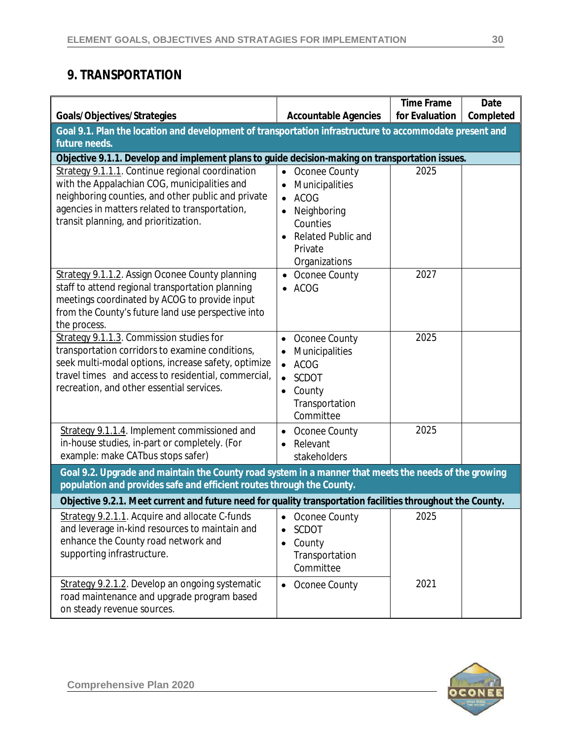# **9. TRANSPORTATION**

|                                                                                                                                                                                                                                                        |                                                                                                                                                                           | <b>Time Frame</b> | Date      |
|--------------------------------------------------------------------------------------------------------------------------------------------------------------------------------------------------------------------------------------------------------|---------------------------------------------------------------------------------------------------------------------------------------------------------------------------|-------------------|-----------|
| Goals/Objectives/Strategies                                                                                                                                                                                                                            | <b>Accountable Agencies</b>                                                                                                                                               | for Evaluation    | Completed |
| Goal 9.1. Plan the location and development of transportation infrastructure to accommodate present and<br>future needs.                                                                                                                               |                                                                                                                                                                           |                   |           |
| Objective 9.1.1. Develop and implement plans to guide decision-making on transportation issues.                                                                                                                                                        |                                                                                                                                                                           |                   |           |
| Strategy 9.1.1.1. Continue regional coordination<br>with the Appalachian COG, municipalities and<br>neighboring counties, and other public and private<br>agencies in matters related to transportation,<br>transit planning, and prioritization.      | Oconee County<br>$\bullet$<br>Municipalities<br><b>ACOG</b><br>$\bullet$<br>Neighboring<br>Counties<br><b>Related Public and</b><br>$\bullet$<br>Private<br>Organizations | 2025              |           |
| Strategy 9.1.1.2. Assign Oconee County planning<br>staff to attend regional transportation planning<br>meetings coordinated by ACOG to provide input<br>from the County's future land use perspective into<br>the process.                             | Oconee County<br><b>ACOG</b>                                                                                                                                              | 2027              |           |
| Strategy 9.1.1.3. Commission studies for<br>transportation corridors to examine conditions,<br>seek multi-modal options, increase safety, optimize<br>travel times and access to residential, commercial,<br>recreation, and other essential services. | Oconee County<br>$\bullet$<br>Municipalities<br><b>ACOG</b><br>$\bullet$<br><b>SCDOT</b><br>$\bullet$<br>County<br>Transportation<br>Committee                            | 2025              |           |
| Strategy 9.1.1.4. Implement commissioned and<br>in-house studies, in-part or completely. (For<br>example: make CATbus stops safer)                                                                                                                     | Oconee County<br>Relevant<br>$\bullet$<br>stakeholders                                                                                                                    | 2025              |           |
| Goal 9.2. Upgrade and maintain the County road system in a manner that meets the needs of the growing<br>population and provides safe and efficient routes through the County.                                                                         |                                                                                                                                                                           |                   |           |
| Objective 9.2.1. Meet current and future need for quality transportation facilities throughout the County.                                                                                                                                             |                                                                                                                                                                           |                   |           |
| Strategy 9.2.1.1. Acquire and allocate C-funds<br>and leverage in-kind resources to maintain and<br>enhance the County road network and<br>supporting infrastructure.                                                                                  | Oconee County<br>SCDOT<br>County<br>$\bullet$<br>Transportation<br>Committee                                                                                              | 2025              |           |
| Strategy 9.2.1.2. Develop an ongoing systematic<br>road maintenance and upgrade program based<br>on steady revenue sources.                                                                                                                            | Oconee County<br>$\bullet$                                                                                                                                                | 2021              |           |

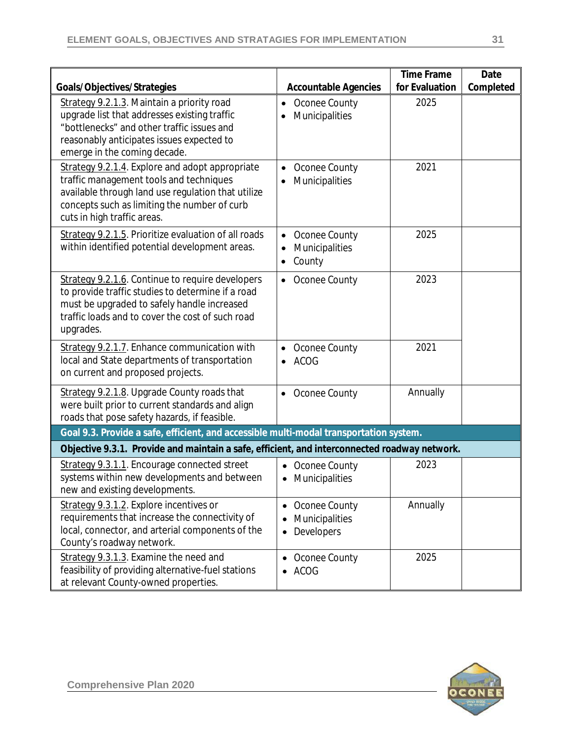|                                                                                                                                                                                                                       |                                                                | <b>Time Frame</b>      | Date      |
|-----------------------------------------------------------------------------------------------------------------------------------------------------------------------------------------------------------------------|----------------------------------------------------------------|------------------------|-----------|
| Goals/Objectives/Strategies<br>Strategy 9.2.1.3. Maintain a priority road<br>upgrade list that addresses existing traffic<br>"bottlenecks" and other traffic issues and<br>reasonably anticipates issues expected to  | <b>Accountable Agencies</b><br>Oconee County<br>Municipalities | for Evaluation<br>2025 | Completed |
| emerge in the coming decade.<br>Strategy 9.2.1.4. Explore and adopt appropriate                                                                                                                                       | Oconee County                                                  | 2021                   |           |
| traffic management tools and techniques<br>available through land use regulation that utilize<br>concepts such as limiting the number of curb<br>cuts in high traffic areas.                                          | Municipalities                                                 |                        |           |
| Strategy 9.2.1.5. Prioritize evaluation of all roads<br>within identified potential development areas.                                                                                                                | Oconee County<br>$\bullet$<br>Municipalities<br>County         | 2025                   |           |
| Strategy 9.2.1.6. Continue to require developers<br>to provide traffic studies to determine if a road<br>must be upgraded to safely handle increased<br>traffic loads and to cover the cost of such road<br>upgrades. | Oconee County<br>$\bullet$                                     | 2023                   |           |
| Strategy 9.2.1.7. Enhance communication with<br>local and State departments of transportation<br>on current and proposed projects.                                                                                    | Oconee County<br>ACOG                                          | 2021                   |           |
| Strategy 9.2.1.8. Upgrade County roads that<br>were built prior to current standards and align<br>roads that pose safety hazards, if feasible.                                                                        | Oconee County<br>$\bullet$                                     | Annually               |           |
| Goal 9.3. Provide a safe, efficient, and accessible multi-modal transportation system.                                                                                                                                |                                                                |                        |           |
| Objective 9.3.1. Provide and maintain a safe, efficient, and interconnected roadway network.                                                                                                                          |                                                                |                        |           |
| Strategy 9.3.1.1. Encourage connected street<br>systems within new developments and between<br>new and existing developments.                                                                                         | Oconee County<br>Municipalities<br>$\bullet$                   | 2023                   |           |
| Strategy 9.3.1.2. Explore incentives or<br>requirements that increase the connectivity of<br>local, connector, and arterial components of the<br>County's roadway network.                                            | Oconee County<br>Municipalities<br>Developers<br>$\bullet$     | Annually               |           |
| Strategy 9.3.1.3. Examine the need and<br>feasibility of providing alternative-fuel stations<br>at relevant County-owned properties.                                                                                  | Oconee County<br><b>ACOG</b>                                   | 2025                   |           |

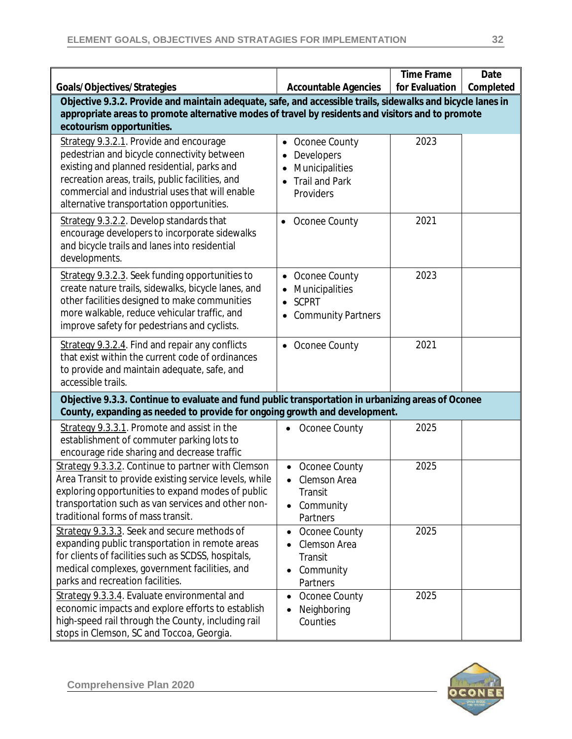|                                                                                                                                                                                                                                                                                           |                                                                                                  | <b>Time Frame</b><br>for Evaluation | Date<br>Completed |
|-------------------------------------------------------------------------------------------------------------------------------------------------------------------------------------------------------------------------------------------------------------------------------------------|--------------------------------------------------------------------------------------------------|-------------------------------------|-------------------|
| Goals/Objectives/Strategies<br>Objective 9.3.2. Provide and maintain adequate, safe, and accessible trails, sidewalks and bicycle lanes in                                                                                                                                                | <b>Accountable Agencies</b>                                                                      |                                     |                   |
| appropriate areas to promote alternative modes of travel by residents and visitors and to promote                                                                                                                                                                                         |                                                                                                  |                                     |                   |
| ecotourism opportunities.                                                                                                                                                                                                                                                                 |                                                                                                  |                                     |                   |
| Strategy 9.3.2.1. Provide and encourage<br>pedestrian and bicycle connectivity between<br>existing and planned residential, parks and<br>recreation areas, trails, public facilities, and<br>commercial and industrial uses that will enable<br>alternative transportation opportunities. | Oconee County<br>$\bullet$<br>Developers<br>Municipalities<br><b>Trail and Park</b><br>Providers | 2023                                |                   |
| Strategy 9.3.2.2. Develop standards that<br>encourage developers to incorporate sidewalks<br>and bicycle trails and lanes into residential<br>developments.                                                                                                                               | • Oconee County                                                                                  | 2021                                |                   |
| Strategy 9.3.2.3. Seek funding opportunities to<br>create nature trails, sidewalks, bicycle lanes, and<br>other facilities designed to make communities<br>more walkable, reduce vehicular traffic, and<br>improve safety for pedestrians and cyclists.                                   | Oconee County<br>Municipalities<br><b>SCPRT</b><br><b>Community Partners</b>                     | 2023                                |                   |
| Strategy 9.3.2.4. Find and repair any conflicts<br>that exist within the current code of ordinances<br>to provide and maintain adequate, safe, and<br>accessible trails.                                                                                                                  | • Oconee County                                                                                  | 2021                                |                   |
| Objective 9.3.3. Continue to evaluate and fund public transportation in urbanizing areas of Oconee<br>County, expanding as needed to provide for ongoing growth and development.                                                                                                          |                                                                                                  |                                     |                   |
| Strategy 9.3.3.1. Promote and assist in the<br>establishment of commuter parking lots to<br>encourage ride sharing and decrease traffic                                                                                                                                                   | Oconee County                                                                                    | 2025                                |                   |
| Strategy 9.3.3.2. Continue to partner with Clemson<br>Area Transit to provide existing service levels, while<br>exploring opportunities to expand modes of public<br>transportation such as van services and other non-<br>traditional forms of mass transit.                             | Oconee County<br>Clemson Area<br>Transit<br>Community<br>Partners                                | 2025                                |                   |
| Strategy 9.3.3.3. Seek and secure methods of<br>expanding public transportation in remote areas<br>for clients of facilities such as SCDSS, hospitals,<br>medical complexes, government facilities, and<br>parks and recreation facilities.                                               | Oconee County<br>$\bullet$<br>Clemson Area<br>Transit<br>Community<br>Partners                   | 2025                                |                   |
| Strategy 9.3.3.4. Evaluate environmental and<br>economic impacts and explore efforts to establish<br>high-speed rail through the County, including rail<br>stops in Clemson, SC and Toccoa, Georgia.                                                                                      | Oconee County<br>$\bullet$<br>Neighboring<br>Counties                                            | 2025                                |                   |

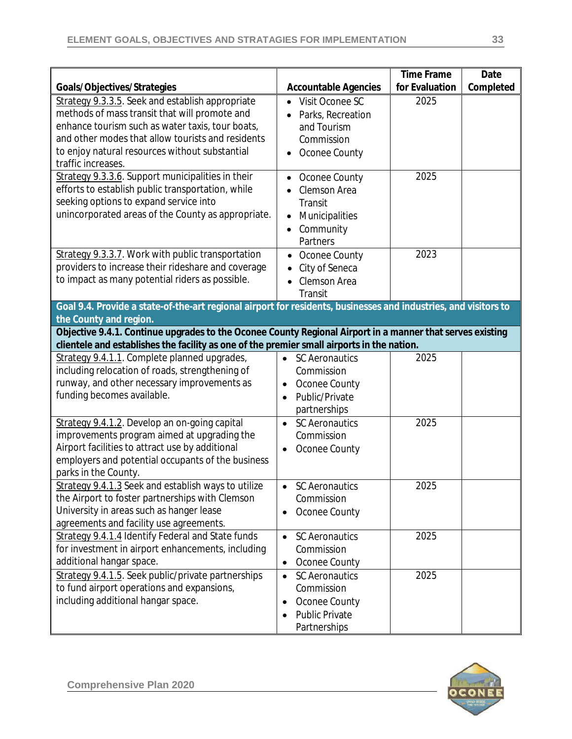| Goals/Objectives/Strategies                                                                                                                                                                                                                                                        | <b>Accountable Agencies</b>                                                                                | <b>Time Frame</b><br>for Evaluation | Date<br>Completed |
|------------------------------------------------------------------------------------------------------------------------------------------------------------------------------------------------------------------------------------------------------------------------------------|------------------------------------------------------------------------------------------------------------|-------------------------------------|-------------------|
| Strategy 9.3.3.5. Seek and establish appropriate<br>methods of mass transit that will promote and<br>enhance tourism such as water taxis, tour boats,<br>and other modes that allow tourists and residents<br>to enjoy natural resources without substantial<br>traffic increases. | Visit Oconee SC<br>Parks, Recreation<br>and Tourism<br>Commission<br>Oconee County                         | 2025                                |                   |
| Strategy 9.3.3.6. Support municipalities in their<br>efforts to establish public transportation, while<br>seeking options to expand service into<br>unincorporated areas of the County as appropriate.                                                                             | Oconee County<br>Clemson Area<br>Transit<br>Municipalities<br>Community<br>Partners                        | 2025                                |                   |
| Strategy 9.3.3.7. Work with public transportation<br>providers to increase their rideshare and coverage<br>to impact as many potential riders as possible.                                                                                                                         | Oconee County<br>$\bullet$<br>City of Seneca<br>Clemson Area<br>Transit                                    | 2023                                |                   |
| Goal 9.4. Provide a state-of-the-art regional airport for residents, businesses and industries, and visitors to<br>the County and region.                                                                                                                                          |                                                                                                            |                                     |                   |
| Objective 9.4.1. Continue upgrades to the Oconee County Regional Airport in a manner that serves existing<br>clientele and establishes the facility as one of the premier small airports in the nation.                                                                            |                                                                                                            |                                     |                   |
| Strategy 9.4.1.1. Complete planned upgrades,<br>including relocation of roads, strengthening of<br>runway, and other necessary improvements as<br>funding becomes available.                                                                                                       | <b>SC Aeronautics</b><br>$\bullet$<br>Commission<br>Oconee County<br>Public/Private<br>partnerships        | 2025                                |                   |
| Strategy 9.4.1.2. Develop an on-going capital<br>improvements program aimed at upgrading the<br>Airport facilities to attract use by additional<br>employers and potential occupants of the business<br>parks in the County.                                                       | <b>SC Aeronautics</b><br>$\bullet$<br>Commission<br>Oconee County                                          | 2025                                |                   |
| Strategy 9.4.1.3 Seek and establish ways to utilize<br>the Airport to foster partnerships with Clemson<br>University in areas such as hanger lease<br>agreements and facility use agreements.                                                                                      | <b>SC Aeronautics</b><br>Commission<br>Oconee County                                                       | 2025                                |                   |
| Strategy 9.4.1.4 Identify Federal and State funds<br>for investment in airport enhancements, including<br>additional hangar space.                                                                                                                                                 | <b>SC Aeronautics</b><br>$\bullet$<br>Commission<br>Oconee County<br>$\bullet$                             | 2025                                |                   |
| Strategy 9.4.1.5. Seek public/private partnerships<br>to fund airport operations and expansions,<br>including additional hangar space.                                                                                                                                             | <b>SC Aeronautics</b><br>$\bullet$<br>Commission<br>Oconee County<br><b>Public Private</b><br>Partnerships | 2025                                |                   |

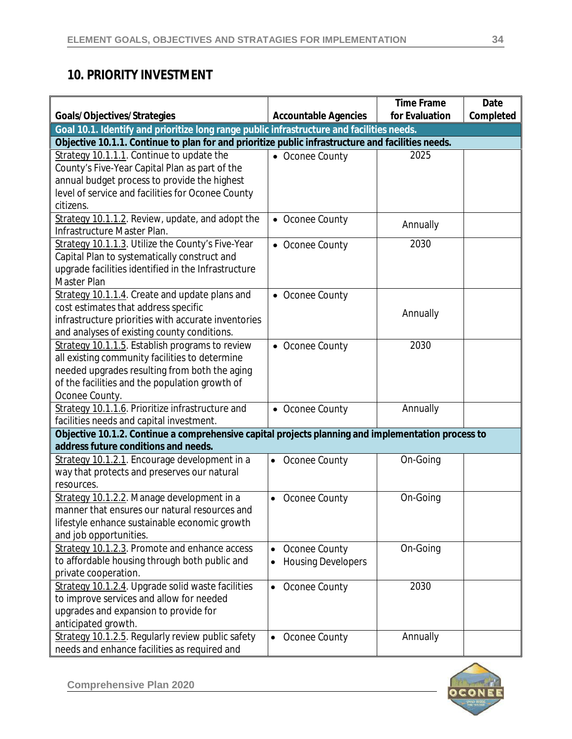## **10. PRIORITY INVESTMENT**

|                                                                                                    |                                        | <b>Time Frame</b> | Date      |
|----------------------------------------------------------------------------------------------------|----------------------------------------|-------------------|-----------|
| Goals/Objectives/Strategies                                                                        | <b>Accountable Agencies</b>            | for Evaluation    | Completed |
| Goal 10.1. Identify and prioritize long range public infrastructure and facilities needs.          |                                        |                   |           |
| Objective 10.1.1. Continue to plan for and prioritize public infrastructure and facilities needs.  |                                        |                   |           |
| Strategy 10.1.1.1. Continue to update the                                                          | • Oconee County                        | 2025              |           |
| County's Five-Year Capital Plan as part of the                                                     |                                        |                   |           |
| annual budget process to provide the highest                                                       |                                        |                   |           |
| level of service and facilities for Oconee County                                                  |                                        |                   |           |
| citizens.                                                                                          |                                        |                   |           |
| Strategy 10.1.1.2. Review, update, and adopt the                                                   | • Oconee County                        | Annually          |           |
| Infrastructure Master Plan.                                                                        |                                        |                   |           |
| Strategy 10.1.1.3. Utilize the County's Five-Year                                                  | • Oconee County                        | 2030              |           |
| Capital Plan to systematically construct and                                                       |                                        |                   |           |
| upgrade facilities identified in the Infrastructure                                                |                                        |                   |           |
| Master Plan                                                                                        |                                        |                   |           |
| Strategy 10.1.1.4. Create and update plans and                                                     | • Oconee County                        |                   |           |
| cost estimates that address specific                                                               |                                        | Annually          |           |
| infrastructure priorities with accurate inventories                                                |                                        |                   |           |
| and analyses of existing county conditions.                                                        |                                        |                   |           |
| Strategy 10.1.1.5. Establish programs to review                                                    | • Oconee County                        | 2030              |           |
| all existing community facilities to determine                                                     |                                        |                   |           |
| needed upgrades resulting from both the aging                                                      |                                        |                   |           |
| of the facilities and the population growth of                                                     |                                        |                   |           |
| Oconee County.                                                                                     |                                        |                   |           |
| Strategy 10.1.1.6. Prioritize infrastructure and                                                   | • Oconee County                        | Annually          |           |
| facilities needs and capital investment.                                                           |                                        |                   |           |
| Objective 10.1.2. Continue a comprehensive capital projects planning and implementation process to |                                        |                   |           |
| address future conditions and needs.                                                               |                                        |                   |           |
| Strategy 10.1.2.1. Encourage development in a                                                      | Oconee County<br>$\bullet$             | On-Going          |           |
| way that protects and preserves our natural                                                        |                                        |                   |           |
| resources.                                                                                         |                                        |                   |           |
| Strategy 10.1.2.2. Manage development in a                                                         | Oconee County<br>$\bullet$             | On-Going          |           |
| manner that ensures our natural resources and                                                      |                                        |                   |           |
| lifestyle enhance sustainable economic growth                                                      |                                        |                   |           |
| and job opportunities.                                                                             |                                        |                   |           |
| Strategy 10.1.2.3. Promote and enhance access                                                      | Oconee County<br>$\bullet$             | On-Going          |           |
| to affordable housing through both public and                                                      | <b>Housing Developers</b><br>$\bullet$ |                   |           |
| private cooperation.                                                                               |                                        |                   |           |
| Strategy 10.1.2.4. Upgrade solid waste facilities                                                  | Oconee County<br>$\bullet$             | 2030              |           |
| to improve services and allow for needed                                                           |                                        |                   |           |
| upgrades and expansion to provide for                                                              |                                        |                   |           |
| anticipated growth.                                                                                |                                        |                   |           |
| Strategy 10.1.2.5. Regularly review public safety                                                  | Oconee County<br>$\bullet$             | Annually          |           |
| needs and enhance facilities as required and                                                       |                                        |                   |           |

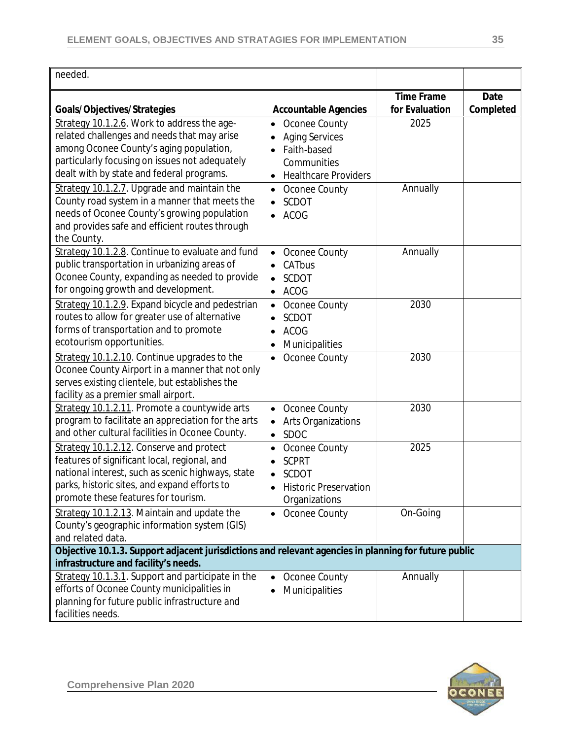| needed.                                                                                                                                                                                                                              |                                                                                                                  |                                     |                   |
|--------------------------------------------------------------------------------------------------------------------------------------------------------------------------------------------------------------------------------------|------------------------------------------------------------------------------------------------------------------|-------------------------------------|-------------------|
| Goals/Objectives/Strategies                                                                                                                                                                                                          | <b>Accountable Agencies</b>                                                                                      | <b>Time Frame</b><br>for Evaluation | Date<br>Completed |
| Strategy 10.1.2.6. Work to address the age-<br>related challenges and needs that may arise<br>among Oconee County's aging population,<br>particularly focusing on issues not adequately<br>dealt with by state and federal programs. | Oconee County<br>$\bullet$<br><b>Aging Services</b><br>Faith-based<br>Communities<br><b>Healthcare Providers</b> | 2025                                |                   |
| Strategy 10.1.2.7. Upgrade and maintain the<br>County road system in a manner that meets the<br>needs of Oconee County's growing population<br>and provides safe and efficient routes through<br>the County.                         | Oconee County<br>$\bullet$<br><b>SCDOT</b><br>$\bullet$<br><b>ACOG</b>                                           | Annually                            |                   |
| Strategy 10.1.2.8. Continue to evaluate and fund<br>public transportation in urbanizing areas of<br>Oconee County, expanding as needed to provide<br>for ongoing growth and development.                                             | Oconee County<br>$\bullet$<br>CATbus<br><b>SCDOT</b><br><b>ACOG</b><br>$\bullet$                                 | Annually                            |                   |
| Strategy 10.1.2.9. Expand bicycle and pedestrian<br>routes to allow for greater use of alternative<br>forms of transportation and to promote<br>ecotourism opportunities.                                                            | Oconee County<br>$\bullet$<br><b>SCDOT</b><br><b>ACOG</b><br>$\bullet$<br>Municipalities                         | 2030                                |                   |
| Strategy 10.1.2.10. Continue upgrades to the<br>Oconee County Airport in a manner that not only<br>serves existing clientele, but establishes the<br>facility as a premier small airport.                                            | Oconee County<br>٠                                                                                               | 2030                                |                   |
| Strategy 10.1.2.11. Promote a countywide arts<br>program to facilitate an appreciation for the arts<br>and other cultural facilities in Oconee County.                                                                               | Oconee County<br>$\bullet$<br><b>Arts Organizations</b><br>SDOC<br>$\bullet$                                     | 2030                                |                   |
| Strategy 10.1.2.12. Conserve and protect<br>features of significant local, regional, and<br>national interest, such as scenic highways, state<br>parks, historic sites, and expand efforts to<br>promote these features for tourism. | Oconee County<br><b>SCPRT</b><br><b>SCDOT</b><br><b>Historic Preservation</b><br>$\bullet$<br>Organizations      | 2025                                |                   |
| Strategy 10.1.2.13. Maintain and update the<br>County's geographic information system (GIS)<br>and related data.                                                                                                                     | Oconee County                                                                                                    | On-Going                            |                   |
| Objective 10.1.3. Support adjacent jurisdictions and relevant agencies in planning for future public<br>infrastructure and facility's needs.                                                                                         |                                                                                                                  |                                     |                   |
| Strategy 10.1.3.1. Support and participate in the<br>efforts of Oconee County municipalities in<br>planning for future public infrastructure and<br>facilities needs.                                                                | Oconee County<br>$\bullet$<br>Municipalities                                                                     | Annually                            |                   |

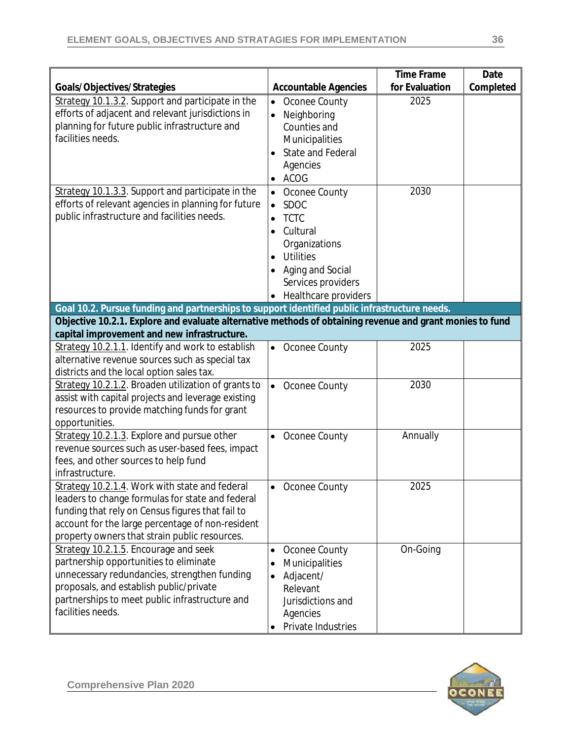|                                                                                                          |                             | <b>Time Frame</b> | Date      |
|----------------------------------------------------------------------------------------------------------|-----------------------------|-------------------|-----------|
| Goals/Objectives/Strategies                                                                              | <b>Accountable Agencies</b> | for Evaluation    | Completed |
| Strategy 10.1.3.2. Support and participate in the                                                        | Oconee County<br>$\bullet$  | 2025              |           |
| efforts of adjacent and relevant jurisdictions in                                                        | Neighboring<br>$\bullet$    |                   |           |
| planning for future public infrastructure and                                                            | Counties and                |                   |           |
| facilities needs.                                                                                        | Municipalities              |                   |           |
|                                                                                                          | <b>State and Federal</b>    |                   |           |
|                                                                                                          | Agencies                    |                   |           |
|                                                                                                          | <b>ACOG</b>                 |                   |           |
| Strategy 10.1.3.3. Support and participate in the                                                        | Oconee County               | 2030              |           |
| efforts of relevant agencies in planning for future                                                      | <b>SDOC</b><br>$\bullet$    |                   |           |
| public infrastructure and facilities needs.                                                              | <b>TCTC</b>                 |                   |           |
|                                                                                                          | Cultural<br>$\bullet$       |                   |           |
|                                                                                                          | Organizations               |                   |           |
|                                                                                                          | <b>Utilities</b>            |                   |           |
|                                                                                                          | Aging and Social            |                   |           |
|                                                                                                          | Services providers          |                   |           |
|                                                                                                          | Healthcare providers        |                   |           |
| Goal 10.2. Pursue funding and partnerships to support identified public infrastructure needs.            |                             |                   |           |
| Objective 10.2.1. Explore and evaluate alternative methods of obtaining revenue and grant monies to fund |                             |                   |           |
| capital improvement and new infrastructure.                                                              |                             |                   |           |
| Strategy 10.2.1.1. Identify and work to establish                                                        | Oconee County<br>$\bullet$  | 2025              |           |
| alternative revenue sources such as special tax                                                          |                             |                   |           |
| districts and the local option sales tax.                                                                |                             |                   |           |
| Strategy 10.2.1.2. Broaden utilization of grants to                                                      | Oconee County<br>$\bullet$  | 2030              |           |
| assist with capital projects and leverage existing                                                       |                             |                   |           |
| resources to provide matching funds for grant                                                            |                             |                   |           |
| opportunities.                                                                                           |                             |                   |           |
| Strategy 10.2.1.3. Explore and pursue other                                                              | Oconee County<br>$\bullet$  | Annually          |           |
| revenue sources such as user-based fees, impact                                                          |                             |                   |           |
| fees, and other sources to help fund                                                                     |                             |                   |           |
| infrastructure.                                                                                          |                             |                   |           |
| Strategy 10.2.1.4. Work with state and federal                                                           | • Oconee County             | 2025              |           |
| leaders to change formulas for state and federal                                                         |                             |                   |           |
| funding that rely on Census figures that fail to                                                         |                             |                   |           |
| account for the large percentage of non-resident                                                         |                             |                   |           |
| property owners that strain public resources.                                                            |                             |                   |           |
| Strategy 10.2.1.5. Encourage and seek                                                                    | Oconee County<br>$\bullet$  | On-Going          |           |
| partnership opportunities to eliminate                                                                   | Municipalities<br>$\bullet$ |                   |           |
| unnecessary redundancies, strengthen funding                                                             | Adjacent/                   |                   |           |
| proposals, and establish public/private                                                                  | Relevant                    |                   |           |
| partnerships to meet public infrastructure and                                                           | Jurisdictions and           |                   |           |
| facilities needs.                                                                                        | Agencies                    |                   |           |
|                                                                                                          | Private Industries          |                   |           |

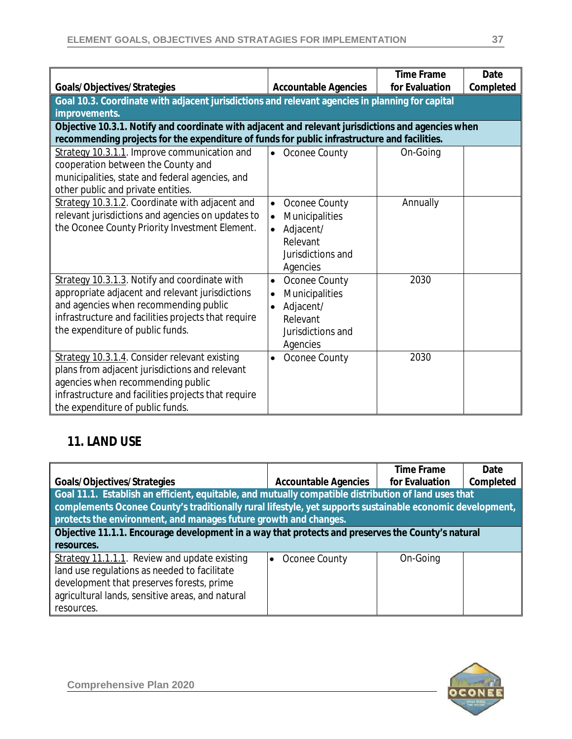|                                                                                                    |                             | <b>Time Frame</b> | Date      |
|----------------------------------------------------------------------------------------------------|-----------------------------|-------------------|-----------|
| Goals/Objectives/Strategies                                                                        | <b>Accountable Agencies</b> | for Evaluation    | Completed |
| Goal 10.3. Coordinate with adjacent jurisdictions and relevant agencies in planning for capital    |                             |                   |           |
| improvements.                                                                                      |                             |                   |           |
| Objective 10.3.1. Notify and coordinate with adjacent and relevant jurisdictions and agencies when |                             |                   |           |
| recommending projects for the expenditure of funds for public infrastructure and facilities.       |                             |                   |           |
| Strategy 10.3.1.1. Improve communication and                                                       | Oconee County<br>$\bullet$  | On-Going          |           |
| cooperation between the County and                                                                 |                             |                   |           |
| municipalities, state and federal agencies, and                                                    |                             |                   |           |
| other public and private entities.                                                                 |                             |                   |           |
| Strategy 10.3.1.2. Coordinate with adjacent and                                                    | Oconee County<br>$\bullet$  | Annually          |           |
| relevant jurisdictions and agencies on updates to                                                  | Municipalities<br>$\bullet$ |                   |           |
| the Oconee County Priority Investment Element.                                                     | Adjacent/<br>$\bullet$      |                   |           |
|                                                                                                    | Relevant                    |                   |           |
|                                                                                                    | Jurisdictions and           |                   |           |
|                                                                                                    | Agencies                    |                   |           |
| Strategy 10.3.1.3. Notify and coordinate with                                                      | Oconee County<br>$\bullet$  | 2030              |           |
| appropriate adjacent and relevant jurisdictions                                                    | Municipalities<br>$\bullet$ |                   |           |
| and agencies when recommending public                                                              | Adjacent/<br>$\bullet$      |                   |           |
| infrastructure and facilities projects that require                                                | Relevant                    |                   |           |
| the expenditure of public funds.                                                                   | Jurisdictions and           |                   |           |
|                                                                                                    | Agencies                    |                   |           |
| Strategy 10.3.1.4. Consider relevant existing                                                      | Oconee County<br>$\bullet$  | 2030              |           |
| plans from adjacent jurisdictions and relevant                                                     |                             |                   |           |
| agencies when recommending public                                                                  |                             |                   |           |
| infrastructure and facilities projects that require                                                |                             |                   |           |
| the expenditure of public funds.                                                                   |                             |                   |           |

#### **11. LAND USE**

|                                                                                                           |                             | <b>Time Frame</b> | Date      |
|-----------------------------------------------------------------------------------------------------------|-----------------------------|-------------------|-----------|
| Goals/Objectives/Strategies                                                                               | <b>Accountable Agencies</b> | for Evaluation    | Completed |
| Goal 11.1. Establish an efficient, equitable, and mutually compatible distribution of land uses that      |                             |                   |           |
| complements Oconee County's traditionally rural lifestyle, yet supports sustainable economic development, |                             |                   |           |
| protects the environment, and manages future growth and changes.                                          |                             |                   |           |
| Objective 11.1.1. Encourage development in a way that protects and preserves the County's natural         |                             |                   |           |
| resources.                                                                                                |                             |                   |           |
| Strategy 11.1.1.1. Review and update existing                                                             | Oconee County               | On-Going          |           |
| land use regulations as needed to facilitate                                                              |                             |                   |           |
| development that preserves forests, prime                                                                 |                             |                   |           |
| agricultural lands, sensitive areas, and natural                                                          |                             |                   |           |
| resources.                                                                                                |                             |                   |           |

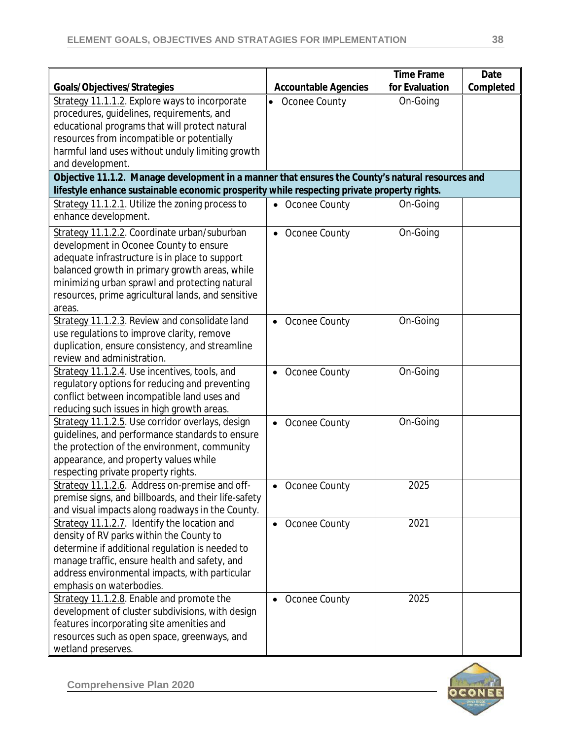|                                                                                                  |                             | <b>Time Frame</b> | Date      |
|--------------------------------------------------------------------------------------------------|-----------------------------|-------------------|-----------|
| Goals/Objectives/Strategies                                                                      | <b>Accountable Agencies</b> | for Evaluation    | Completed |
| Strategy 11.1.1.2. Explore ways to incorporate                                                   | Oconee County               | On-Going          |           |
| procedures, guidelines, requirements, and                                                        |                             |                   |           |
| educational programs that will protect natural                                                   |                             |                   |           |
| resources from incompatible or potentially                                                       |                             |                   |           |
| harmful land uses without unduly limiting growth                                                 |                             |                   |           |
| and development.                                                                                 |                             |                   |           |
| Objective 11.1.2. Manage development in a manner that ensures the County's natural resources and |                             |                   |           |
| lifestyle enhance sustainable economic prosperity while respecting private property rights.      |                             |                   |           |
| Strategy 11.1.2.1. Utilize the zoning process to                                                 | • Oconee County             | On-Going          |           |
| enhance development.                                                                             |                             |                   |           |
| Strategy 11.1.2.2. Coordinate urban/suburban                                                     | • Oconee County             | On-Going          |           |
| development in Oconee County to ensure                                                           |                             |                   |           |
| adequate infrastructure is in place to support                                                   |                             |                   |           |
| balanced growth in primary growth areas, while                                                   |                             |                   |           |
| minimizing urban sprawl and protecting natural                                                   |                             |                   |           |
| resources, prime agricultural lands, and sensitive                                               |                             |                   |           |
| areas.                                                                                           |                             |                   |           |
| Strategy 11.1.2.3. Review and consolidate land                                                   | • Oconee County             | On-Going          |           |
| use regulations to improve clarity, remove                                                       |                             |                   |           |
| duplication, ensure consistency, and streamline                                                  |                             |                   |           |
| review and administration.                                                                       |                             |                   |           |
| Strategy 11.1.2.4. Use incentives, tools, and                                                    | Oconee County               | On-Going          |           |
| regulatory options for reducing and preventing                                                   |                             |                   |           |
| conflict between incompatible land uses and                                                      |                             |                   |           |
| reducing such issues in high growth areas.                                                       |                             |                   |           |
| Strategy 11.1.2.5. Use corridor overlays, design                                                 | • Oconee County             | On-Going          |           |
| guidelines, and performance standards to ensure                                                  |                             |                   |           |
| the protection of the environment, community                                                     |                             |                   |           |
| appearance, and property values while                                                            |                             |                   |           |
| respecting private property rights.                                                              |                             |                   |           |
| Strategy 11.1.2.6. Address on-premise and off-                                                   | Oconee County               | 2025              |           |
| premise signs, and billboards, and their life-safety                                             |                             |                   |           |
| and visual impacts along roadways in the County.                                                 |                             |                   |           |
| Strategy 11.1.2.7. Identify the location and                                                     | Oconee County<br>$\bullet$  | 2021              |           |
| density of RV parks within the County to                                                         |                             |                   |           |
| determine if additional regulation is needed to                                                  |                             |                   |           |
| manage traffic, ensure health and safety, and                                                    |                             |                   |           |
| address environmental impacts, with particular                                                   |                             |                   |           |
| emphasis on waterbodies.                                                                         |                             |                   |           |
| Strategy 11.1.2.8. Enable and promote the                                                        | Oconee County               | 2025              |           |
| development of cluster subdivisions, with design                                                 |                             |                   |           |
| features incorporating site amenities and                                                        |                             |                   |           |
| resources such as open space, greenways, and                                                     |                             |                   |           |
| wetland preserves.                                                                               |                             |                   |           |

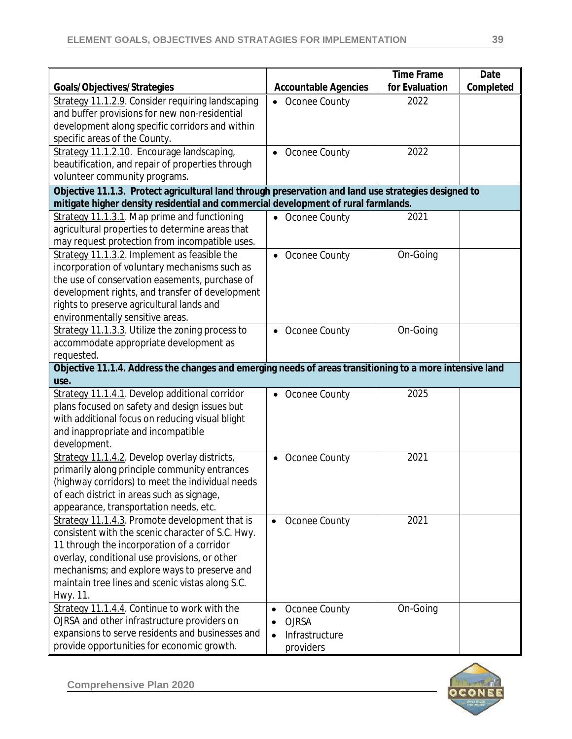|                                                                                                          |                             | <b>Time Frame</b> | Date      |
|----------------------------------------------------------------------------------------------------------|-----------------------------|-------------------|-----------|
| Goals/Objectives/Strategies                                                                              | <b>Accountable Agencies</b> | for Evaluation    | Completed |
| Strategy 11.1.2.9. Consider requiring landscaping                                                        | Oconee County               | 2022              |           |
| and buffer provisions for new non-residential                                                            |                             |                   |           |
| development along specific corridors and within                                                          |                             |                   |           |
| specific areas of the County.                                                                            |                             |                   |           |
| Strategy 11.1.2.10. Encourage landscaping,                                                               | Oconee County               | 2022              |           |
| beautification, and repair of properties through                                                         |                             |                   |           |
| volunteer community programs.                                                                            |                             |                   |           |
| Objective 11.1.3. Protect agricultural land through preservation and land use strategies designed to     |                             |                   |           |
| mitigate higher density residential and commercial development of rural farmlands.                       |                             |                   |           |
| Strategy 11.1.3.1. Map prime and functioning                                                             | • Oconee County             | 2021              |           |
| agricultural properties to determine areas that                                                          |                             |                   |           |
| may request protection from incompatible uses.                                                           |                             |                   |           |
| Strategy 11.1.3.2. Implement as feasible the                                                             | • Oconee County             | On-Going          |           |
| incorporation of voluntary mechanisms such as                                                            |                             |                   |           |
| the use of conservation easements, purchase of                                                           |                             |                   |           |
| development rights, and transfer of development                                                          |                             |                   |           |
| rights to preserve agricultural lands and                                                                |                             |                   |           |
| environmentally sensitive areas.                                                                         |                             |                   |           |
| Strategy 11.1.3.3. Utilize the zoning process to                                                         | • Oconee County             | On-Going          |           |
| accommodate appropriate development as                                                                   |                             |                   |           |
| requested.                                                                                               |                             |                   |           |
| Objective 11.1.4. Address the changes and emerging needs of areas transitioning to a more intensive land |                             |                   |           |
| use.                                                                                                     |                             |                   |           |
| Strategy 11.1.4.1. Develop additional corridor                                                           | • Oconee County             | 2025              |           |
| plans focused on safety and design issues but                                                            |                             |                   |           |
| with additional focus on reducing visual blight                                                          |                             |                   |           |
| and inappropriate and incompatible<br>development.                                                       |                             |                   |           |
| Strategy 11.1.4.2. Develop overlay districts,                                                            |                             | 2021              |           |
| primarily along principle community entrances                                                            | Oconee County<br>$\bullet$  |                   |           |
| (highway corridors) to meet the individual needs                                                         |                             |                   |           |
| of each district in areas such as signage,                                                               |                             |                   |           |
| appearance, transportation needs, etc.                                                                   |                             |                   |           |
| Strategy 11.1.4.3. Promote development that is                                                           | Oconee County<br>$\bullet$  | 2021              |           |
| consistent with the scenic character of S.C. Hwy.                                                        |                             |                   |           |
| 11 through the incorporation of a corridor                                                               |                             |                   |           |
| overlay, conditional use provisions, or other                                                            |                             |                   |           |
| mechanisms; and explore ways to preserve and                                                             |                             |                   |           |
| maintain tree lines and scenic vistas along S.C.                                                         |                             |                   |           |
| Hwy. 11.                                                                                                 |                             |                   |           |
| Strategy 11.1.4.4. Continue to work with the                                                             | Oconee County<br>$\bullet$  | On-Going          |           |
| OJRSA and other infrastructure providers on                                                              | <b>OJRSA</b><br>$\bullet$   |                   |           |
| expansions to serve residents and businesses and                                                         | Infrastructure<br>$\bullet$ |                   |           |
| provide opportunities for economic growth.                                                               | providers                   |                   |           |

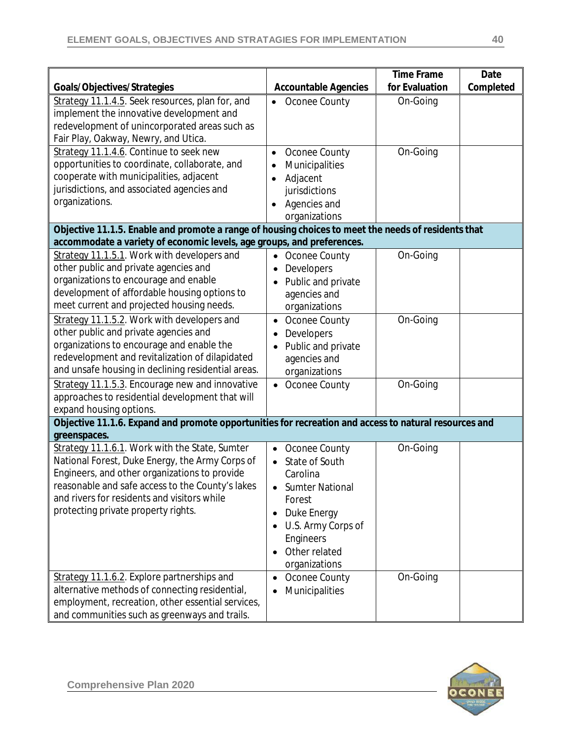|                                                                                                       |                             | <b>Time Frame</b> | Date      |
|-------------------------------------------------------------------------------------------------------|-----------------------------|-------------------|-----------|
| Goals/Objectives/Strategies                                                                           | <b>Accountable Agencies</b> | for Evaluation    | Completed |
| Strategy 11.1.4.5. Seek resources, plan for, and                                                      | Oconee County               | On-Going          |           |
| implement the innovative development and                                                              |                             |                   |           |
| redevelopment of unincorporated areas such as                                                         |                             |                   |           |
| Fair Play, Oakway, Newry, and Utica.                                                                  |                             |                   |           |
| Strategy 11.1.4.6. Continue to seek new                                                               | Oconee County<br>$\bullet$  | On-Going          |           |
| opportunities to coordinate, collaborate, and                                                         | Municipalities<br>$\bullet$ |                   |           |
| cooperate with municipalities, adjacent                                                               | Adjacent                    |                   |           |
| jurisdictions, and associated agencies and                                                            | jurisdictions               |                   |           |
| organizations.                                                                                        | Agencies and<br>$\bullet$   |                   |           |
|                                                                                                       | organizations               |                   |           |
| Objective 11.1.5. Enable and promote a range of housing choices to meet the needs of residents that   |                             |                   |           |
| accommodate a variety of economic levels, age groups, and preferences.                                |                             |                   |           |
| Strategy 11.1.5.1. Work with developers and                                                           | Oconee County<br>$\bullet$  | On-Going          |           |
| other public and private agencies and                                                                 | Developers                  |                   |           |
| organizations to encourage and enable                                                                 | Public and private          |                   |           |
| development of affordable housing options to                                                          | agencies and                |                   |           |
| meet current and projected housing needs.                                                             | organizations               |                   |           |
| Strategy 11.1.5.2. Work with developers and                                                           | Oconee County               | On-Going          |           |
| other public and private agencies and                                                                 | Developers                  |                   |           |
| organizations to encourage and enable the                                                             | Public and private          |                   |           |
| redevelopment and revitalization of dilapidated                                                       | agencies and                |                   |           |
| and unsafe housing in declining residential areas.                                                    | organizations               |                   |           |
| Strategy 11.1.5.3. Encourage new and innovative                                                       | • Oconee County             | On-Going          |           |
| approaches to residential development that will                                                       |                             |                   |           |
| expand housing options.                                                                               |                             |                   |           |
| Objective 11.1.6. Expand and promote opportunities for recreation and access to natural resources and |                             |                   |           |
| greenspaces.                                                                                          |                             |                   |           |
| Strategy 11.1.6.1. Work with the State, Sumter                                                        | Oconee County<br>$\bullet$  | On-Going          |           |
| National Forest, Duke Energy, the Army Corps of                                                       | State of South<br>$\bullet$ |                   |           |
| Engineers, and other organizations to provide                                                         | Carolina                    |                   |           |
| reasonable and safe access to the County's lakes                                                      | <b>Sumter National</b>      |                   |           |
| and rivers for residents and visitors while                                                           | Forest                      |                   |           |
| protecting private property rights.                                                                   | Duke Energy<br>$\bullet$    |                   |           |
|                                                                                                       | U.S. Army Corps of          |                   |           |
|                                                                                                       | Engineers                   |                   |           |
|                                                                                                       | Other related               |                   |           |
|                                                                                                       | organizations               |                   |           |
| Strategy 11.1.6.2. Explore partnerships and                                                           | Oconee County<br>$\bullet$  | On-Going          |           |
| alternative methods of connecting residential,                                                        | Municipalities<br>$\bullet$ |                   |           |
| employment, recreation, other essential services,                                                     |                             |                   |           |
| and communities such as greenways and trails.                                                         |                             |                   |           |